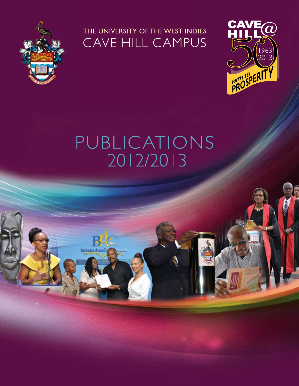

### THE UNIVERSITY OF THE WEST INDIES CAVE HILL CAMPUS



# PUBLICATIONS 2012/2013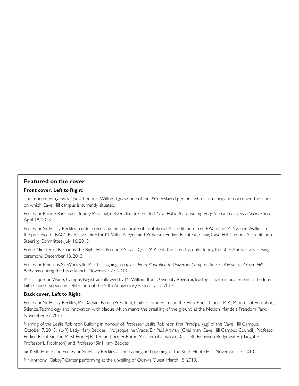#### **Featured on the cover**

#### **Front cover, Left to Right:**

The monument *Quaw's Quest* honours William Quaw, one of the 295 enslaved persons who at emancipation occupied the lands on which Cave Hill campus is currently situated.

Professor Eudine Barriteau, Deputy Principal, delivers lecture entitled: *Cave Hill in the Contemporary: The University as a Social Space*, April 18, 2013.

Professor Sir Hilary Beckles (center) receiving the certificate of Institutional Accreditation from BAC chair Ms Yvonne Walkes in the presence of BAC's Executive Director Ms Valda Alleyne and Professor Eudine Barriteau, Chair, Cave Hill Campus Accreditation Steering Committee, July 16, 2013.

Prime Minister of Barbados, the Right Hon Freundel Stuart, Q.C.; M.P. seals the Time Capsule during the 50th Anniversary closing ceremony, December 18, 2013.

Professor Emeritus Sir Woodville Marshall signing a copy of *From Plantation to University Campus: the Social History of Cave Hill Barbados* during the book launch, November 27, 2013.

Mrs Jacqueline Wade, Campus Registrar, followed by Mr William Iton, University Registrar, leading academic procession at the Interfaith Church Service in celebration of the 50th Anniversary, February 17, 2013.

#### **Back cover, Left to Right:**

Professor Sir Hilary Beckles, Mr Damani Parris (President, Guild of Students) and the Hon. Ronald Jones M.P. , Minister of Education, Science, Technology and Innovation with plaque which marks the breaking of the ground at the Nelson Mandela Freedom Park, November 27, 2013.

Naming of the Leslie Robinson Building in honour of Professor Leslie Robinson first Principal (ag) of the Cave Hill Campus, October 7, 2013. (L-R) Lady Mary Beckles, Mrs Jacqueline Wade, Dr Paul Altman (Chairman, Cave Hill Campus Council), Professor Eudine Barriteau, the Most Hon P.J.Patterson (former Prime Minister of Jamaica), Dr Lilieth Robinson Bridgewater (daughter of Professor L. Robinson) and Professor Sir Hilary Beckles.

Sir Keith Hunte and Professor Sir Hilary Beckles at the naming and opening of the Keith Hunte Hall, November 13, 2013.

Mr Anthony "Gabby" Carter performing at the unveiling of Quaw's Quest, March 15, 2013.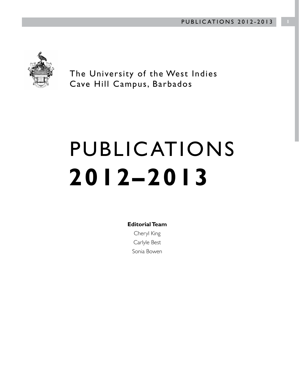

The University of the West Indies Cave Hill Campus, Barbados

# PUBLICATIONS **2012–2013**

**Editorial Team**

Cheryl King Carlyle Best Sonia Bowen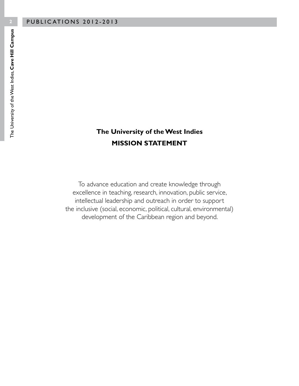#### **The University of the West Indies MISSION STATEMENT**

To advance education and create knowledge through excellence in teaching, research, innovation, public service, intellectual leadership and outreach in order to support the inclusive (social, economic, political, cultural, environmental) development of the Caribbean region and beyond.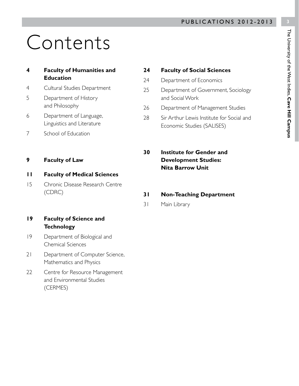# Contents

**4 Faculty of Humanities and** 

**Education**

|    | Equeation                                                  |  |
|----|------------------------------------------------------------|--|
| 4  | Cultural Studies Department                                |  |
| 5  | Department of History<br>and Philosophy                    |  |
| 6  | Department of Language,<br>Linguistics and Literature      |  |
| 7  | School of Education                                        |  |
|    |                                                            |  |
| 9  | <b>Faculty of Law</b>                                      |  |
| 11 | <b>Faculty of Medical Sciences</b>                         |  |
| 15 | Chronic Disease Research Centre<br>(CDRC)                  |  |
|    |                                                            |  |
| 9  | <b>Faculty of Science and</b><br><b>Technology</b>         |  |
| 9  | Department of Biological and<br><b>Chemical Sciences</b>   |  |
| 21 | Department of Computer Science,<br>Mathematics and Physics |  |

22 Centre for Resource Management and Environmental Studies (CERMES)

| 24 — | Department of Economics                                   |
|------|-----------------------------------------------------------|
|      | 25 Department of Government, Sociology<br>and Social Work |
|      |                                                           |

**24 Faculty of Social Sciences**

- 26 Department of Management Studies
- 28 Sir Arthur Lewis Institute for Social and Economic Studies (SALISES)
- **30 Institute for Gender and Development Studies: Nita Barrow Unit**

#### **31 Non-Teaching Department**

31 Main Library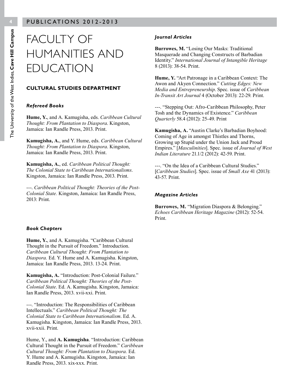# FACULTY OF HUMANITIES AND EDUCATION

#### **CULTURAL STUDIES DEPARTMENT**

#### *Refereed Books*

**Hume, Y.**, and A. Kamugisha, eds. *Caribbean Cultural Thought: From Plantation to Diaspora*. Kingston, Jamaica: Ian Randle Press, 2013. Print.

**Kamugisha, A.**, and Y. Hume, eds. *Caribbean Cultural Thought: From Plantation to Diaspora*. Kingston, Jamaica: Ian Randle Press, 2013. Print.

**Kamugisha, A.**, ed. *Caribbean Political Thought: The Colonial State to Caribbean Internationalisms*. Kingston, Jamaica: Ian Randle Press, 2013. Print.

---. *Caribbean Political Thought: Theories of the Post-Colonial State.* Kingston, Jamaica: Ian Randle Press, 2013: Print.

#### *Book Chapters*

**Hume, Y.**, and A. Kamugisha. "Caribbean Cultural Thought in the Pursuit of Freedom." Introduction. *Caribbean Cultural Thought: From Plantation to Diaspora.* Ed. Y. Hume and A. Kamugisha. Kingston, Jamaica: Ian Randle Press, 2013. 13-24. Print.

**Kamugisha, A.** "Introduction: Post-Colonial Failure." *Caribbean Political Thought: Theories of the Post-Colonial State*. Ed. A. Kamugisha. Kingston, Jamaica: Ian Randle Press, 2013. xvii-xxi. Print.

---. "Introduction: The Responsibilities of Caribbean Intellectuals." *Caribbean Political Thought: The Colonial State to Caribbean Internationalism*. Ed. A. Kamugisha. Kingston, Jamaica: Ian Randle Press, 2013. xvii-xxii. Print.

Hume, Y., and **A. Kamugisha**. "Introduction: Caribbean Cultural Thought in the Pursuit of Freedom." *Caribbean Cultural Thought: From Plantation to Diaspora.* Ed. Y. Hume and A. Kamugisha. Kingston, Jamaica: Ian Randle Press, 2013. xix-xxx. Print.

#### *Journal Articles*

**Burrowes, M.** "Losing Our Masks: Traditional Masquerade and Changing Constructs of Barbadian Identity." *International Journal of Intangible Heritage*  8 (2013): 38-54. Print.

**Hume, Y.** "Art Patronage in a Caribbean Context: The Awon and Akyen Connection." *Cutting Edges: New Media and Entrepreneurship*. Spec. issue of *Caribbean In-Transit Art Journal* 4 (October 2013): 22-29. Print.

---. "Stepping Out: Afro-Caribbean Philosophy, Peter Tosh and the Dynamics of Existence." *Caribbean Quarterly* 58.4 (2012): 25-49. Print

**Kamugisha, A.** "Austin Clarke's Barbadian Boyhood: Coming of Age in amongst Thistles and Thorns, Growing up Stupid under the Union Jack and Proud Empires." [*Masculinities*]. Spec. issue of *Journal of West Indian Literature* 21.1/2 (2012): 42-59. Print.

---. "On the Idea of a Caribbean Cultural Studies." [*Caribbean Studies*]. Spec. issue of *Small Axe* 41 (2013): 43-57. Print.

#### *Magazine Articles*

**Burrowes, M.** "Migration Diaspora & Belonging." *Echoes Caribbean Heritage Magazine* (2012): 52-54. Print.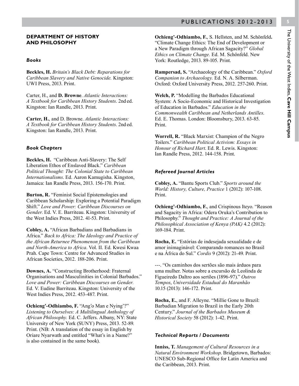# The University of the West Indies, Cave Hill Campus The University of the West Indies,

**Cave Hill Campus**

#### **DEPARTMENT OF HISTORY AND PHILOSOPHY**

#### *Books*

**Beckles, H.** *Britain's Black Debt: Reparations for Caribbean Slavery and Native Genocide.* Kingston: UWI Press, 2013. Print.

Carter, H., and **D. Browne**. *Atlantic Interactions: A Textbook for Caribbean History Students*. 2nd ed. Kingston: Ian Randle, 2013. Print.

**Carter, H.**, and D. Browne. *Atlantic Interactions: A Textbook for Caribbean History Students*. 2nd ed. Kingston: Ian Randle, 2013. Print.

#### *Book Chapters*

**Beckles, H.** "Caribbean Anti-Slavery: The Self Liberation Ethos of Enslaved Black." *Caribbean Political Thought: The Colonial State to Caribbean Internationalisms*. Ed. Aaron Kamugisha. Kingston, Jamaica: Ian Randle Press, 2013. 156-170. Print.

**Burton, R.** "Feminist Social Epistemologies and Caribbean Scholarship: Exploring a Potential Paradigm Shift." *Love and Power: Caribbean Discourses on Gender*. Ed. V. E. Barriteau. Kingston: University of the West Indies Press, 2012. 41-53. Print.

**Cobley, A.** "African Barbadians and Barbadians in Africa." *Back to Africa: The Ideology and Practice of the African Returnee Phenomenon from the Caribbean and North-America to Africa*. Vol. II. Ed. Kwesi Kwaa Prah. Cape Town: Centre for Advanced Studies in African Societies, 2012. 188-206. Print.

**Downes, A.** "Constructing Brotherhood: Fraternal Organisations and Masculinities in Colonial Barbados." *Love and Power: Caribbean Discourses on Gender.* Ed. V. Eudine Barriteau. Kingston: University of the West Indies Press, 2012. 453-487. Print.

**Ochieng'-Odhiambo, F.** "Ang'o Man e Nying'?" *Listening to Ourselves: A Multilingual Anthology of African Philosophy.* Ed. C. Jeffers. Albany, NY: State University of New York (SUNY) Press, 2013. 52-89. Print. (NB: A translation of the essay in English by Oriare Nyarwath and entitled "What's in a Name?" is also contained in the same book).

**Ochieng'-Odhiambo, F.**, S. Hellsten, and M. Schönfeld**.** "Climate Change Ethics: The End of Development or a New Paradigm through African Sagacity?" *Global Ethics on Climate Change.* Ed. M. Schönfeld. New York: Routledge, 2013. 89-105. Print.

**Rampersad, S.** "Archaeology of the Caribbean." *Oxford Companion to Archaeology.* Ed. N. A. Silberman. Oxford: Oxford University Press, 2012. 257-260. Print.

**Welch, P.** "Modelling the Barbados Educational System: A Socio-Economic and Historical Investigation of Education in Barbados." *Education in the Commonwealth Caribbean and Netherlands Antilles*. Ed. E. Thomas. London: Bloomsbury, 2013. 63-85. Print.

**Worrell, R.** "Black Marxist: Champion of the Negro Toilers." *Caribbean Political Activism: Essays in Honour of Richard Hart*. Ed. R. Lewis. Kingston: Ian Randle Press, 2012. 144-158. Print.

#### *Refereed Journal Articles*

**Cobley, A.** "Bantu Sports Club." *Sports around the World: History, Culture, Practice* 1 (2012): 107-108. Print.

**Ochieng'-Odhiambo, F.**, and Crispinous Iteyo. "Reason and Sagacity in Africa: Odera Oruka's Contribution to Philosophy." *Thought and Practice: A Journal of the Philosophical Association of Kenya (PAK)* 4.2 (2012): 169-184. Print.

**Rocha, E.** "Estórias de indesejada sexualidade e de amor inimaginável: Comparando romances no Brasil e na África do Sul." *Cordis* 9 (2012): 21-49. Print.

---. "Os caminhos dos sertões são mais árduos para uma mulher. Notas sobre a excursão de Leolinda de Figueiredo Daltro aos sertões (1896-97)." *Outros Tempos*, *Universidade Estadual do Maranhão* 10.15 (2013): 146-172. Print.

**Rocha, E.**, and F. Alleyne. "Millie Gone to Brazil: Barbadian Migration to Brazil in the Early 20th Century." *Journal of the Barbados Museum & Historical Society* 58 (2012): 1-42. Print.

#### *Technical Reports / Documents*

**Inniss, T.** *Management of Cultural Resources in a Natural Environment Workshop*. Bridgetown, Barbados: UNESCO Sub-Regional Office for Latin America and the Caribbean, 2013. Print.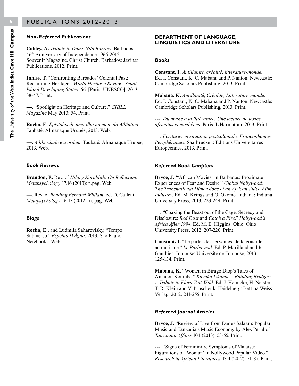#### *Non-Refereed Publications*

**Cobley, A.** *Tribute to Dame Nita Barrow.* Barbados' 46th Anniversary of Independence 1966-2012 Souvenir Magazine. Christ Church, Barbados: Javinat Publications, 2012. Print.

**Inniss, T.** "Confronting Barbados' Colonial Past: Reclaiming Heritage." *World Heritage Review: Small Island Developing States.* 66. [Paris: UNESCO], 2013. 38-47. Print.

**---.** "Spotlight on Heritage and Culture." *CHILL Magazine* May 2013: 54. Print.

**Rocha, E.** *Epístolas de uma ilha no meio do Atlântico*. Taubaté: Almanaque Urupês, 2013. Web.

**---.** *A liberdade e a ordem*. Taubaté: Almanaque Urupês, 2013. Web.

#### *Book Reviews*

**Brandon, E.** Rev. of *Hilary Kornblith: On Reflection. Metapsychology* 17.16 (2013): n.pag. Web.

**---**. Rev. of *Reading Bernard William*, ed. D. Callcut. *Metapsychology* 16.47 (2012): n. pag. Web.

#### *Blogs*

**Rocha, E.**, and Ludmila Saharovisky, "Tempo Submerso*.*" *Espelho D'Água.* 2013. São Paulo, Netebooks. Web.

#### **DEPARTMENT OF LANGUAGE, LINGUISTICS AND LITERATURE**

#### *Books*

**Constant, I.** *Antillanité, créolité, littérature-monde.* Ed. I. Constant, K. C. Mabana and P. Nanton. Newcastle: Cambridge Scholars Publishing, 2013. Print.

**Mabana, K.** *Antillanité, Créolité, Littérature-monde.*  Ed. I. Constant, K. C. Mabana and P. Nanton. Newcastle: Cambridge Scholars Publishing, 2013. Print.

**---.** *Du mythe à la littérature: Une lecture de textes africains et caribéens.* Paris: L'Harmattan, 2013. Print.

*---. Ecritures en situation postcoloniale: Francophonies Periphériques.* Saarbrücken: Editions Universitaires Européennes, 2013. Print.

#### *Refereed Book Chapters*

**Bryce, J.** '"African Movies' in Barbados: Proximate Experiences of Fear and Desire." *Global Nollywood: The Transnational Dimensions of an African Video Film Industry*. Ed. M. Krings and O. Okome. Indiana: Indiana University Press, 2013. 223-244. Print.

*---.* "Coaxing the Beast out of the Cage: Secrecy and Disclosure: *Red Dust* and *Catch a Fire*." *Hollywood's Africa After 1994*. Ed. M. E. Higgins. Ohio: Ohio University Press, 2012. 207-220. Print.

**Constant, I.** "Le parler des servantes: de la gouaille au mutisme." *Le Parler mal.* Ed*.* P. Marillaud and R. Gauthier. Toulouse: Université de Toulouse, 2013. 125-134. Print.

**Mabana, K.** "Women in Birago Diop's Tales of Amadou Koumba." *Kuvaka Ukama = Building Bridges: A Tribute to Flora Veit-Wild.* Ed. J. Heinicke, H. Neister, T. R. Klein and V. Prüschenk. Heidelberg: Bettina Weiss Verlag, 2012. 241-255. Print.

#### *Refereed Journal Articles*

**Bryce, J.** "Review of Live from Dar es Salaam: Popular Music and Tanzania's Music Economy by Alex Perullo." *Tanzanian Affairs* 104 (2013): 53-55. Print.

**---.** "Signs of Femininity, Symptoms of Malaise: Figurations of 'Woman' in Nollywood Popular Video." *Research in African Literatures* 43.4 (2012): 71-87. Print.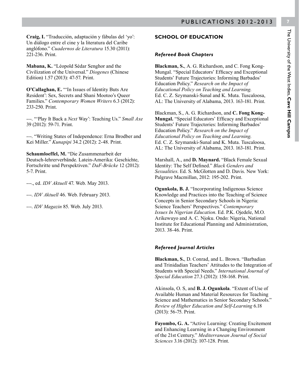**Craig, I.** "Traducción, adaptación y fábulas del 'yo': Un diálogo entre el cine y la literatura del Caribe anglófono." *Cuadernos de Literatura* 15.30 (2011): 221-236. Print.

**Mabana, K.** "Léopold Sédar Senghor and the Civilization of the Universal." *Diogenes* (Chinese Edition) 1.57 (2013): 47-57. Print.

**O'Callaghan, E.** "'In Issues of Identity Buts Are Resident': Sex, Secrets and Shani Mootoo's Queer Families." *Contemporary Women Writers* 6.3 (2012): 233-250. Print.

---. "'Play It Back a *Next* Way': Teaching Us." *Small Axe* 39 (2012): 59-71. Print.

---. "Writing States of Independence: Erna Brodber and Kei Miller." *Kunapipi* 34.2 (2012): 2-48. Print.

**Schaumloeffel, M.** "Die Zusammenarbeit der Deutsch-lehrerverbände. Latein-Amerika: Geschichte, Fortschritte und Perspektiven." *DaF-Brücke* 12 (2012): 5-7. Print.

---., ed. *IDV Aktuell* 47. Web. May 2013.

---. *IDV Aktuell* 46. Web. February 2013.

---. *IDV Magazin* 85. Web. July 2013.

#### **SCHOOL OF EDUCATION**

#### *Refereed Book Chapters*

**Blackman, S.**, A. G. Richardson, and C. Fong Kong-Mungal. "Special Educators' Efficacy and Exceptional Students' Future Trajectories: Informing Barbados' Education Policy." *Research on the Impact of Educational Policy on Teaching and Learning*. Ed. C. Z. Szymanski-Sunal and K. Muta. Tuscaloosa, AL: The University of Alabama, 2013. 163-181. Print.

Blackman, S., A. G. Richardson, and **C. Fong Kong-Mungal.** "Special Educators' Efficacy and Exceptional Students' Future Trajectories: Informing Barbados' Education Policy." *Research on the Impact of Educational Policy on Teaching and Learning*. Ed. C. Z. Szymanski-Sunal and K. Muta. Tuscaloosa, AL: The University of Alabama, 2013. 163-181. Print.

Marshall, A., and **D. Maynard.** "Black Female Sexual Identity: The Self Defined." *Black Genders and Sexualities*. Ed. S. McGlotten and D. Davis. New York: Palgrave Macmillan, 2012: 195-202. Print.

**Ogunkola, B. J.** "Incorporating Indigenous Science Knowledge and Practices into the Teaching of Science Concepts in Senior Secondary Schools in Nigeria: Science Teachers' Perspectives." *Contemporary Issues In Nigerian Education*. Ed. P.K. Ojedele, M.O. Arikewuyo and A. C. Njoku. Ondo: Nigeria, National Institute for Educational Planning and Administration, 2013. 38-46. Print.

#### *Refereed Journal Articles*

**Blackman, S.**, D. Conrad, and L. Brown. "Barbadian and Trinidadian Teachers' Attitudes to the Integration of Students with Special Needs." *International Journal of Special Education* 27.3 (2012): 158-168. Print.

Akinsola, O. S, and **B. J. Ogunkola**. "Extent of Use of Available Human and Material Resources for Teaching Science and Mathematics in Senior Secondary Schools." *Review of Higher Education and Self-Learning* 6.18 (2013): 56-75. Print.

**Fayombo, G. A.** "Active Learning: Creating Excitement and Enhancing Learning in a Changing Environment of the 21st Century." *Mediterranean Journal of Social Sciences* 3.16 (2012): 107-128. Print.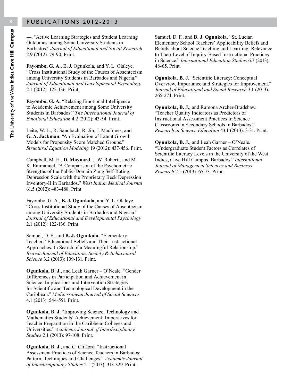---. "Active Learning Strategies and Student Learning Outcomes among Some University Students in Barbados." *Journal of Educational and Social Research* 2.9 (2012): 79-90. Print.

**Fayombo, G. A.**, B. J. Ogunkola, and Y. L. Olaleye. "Cross Institutional Study of the Causes of Absenteeism among University Students in Barbados and Nigeria." *Journal of Educational and Developmental Psychology* 2.1 (2012): 122-136. Print.

**Fayombo, G. A.** "Relating Emotional Intelligence to Academic Achievement among Some University Students in Barbados." *The International Journal of Emotional Education* 4.2 (2012): 43-54. Print.

Leite, W. L., R. Sandbach, R. Jin, J. MacInnes, and **G. A. Jackman**. "An Evaluation of Latent Growth Models for Propensity Score Matched Groups." *Structural Equation Modeling* 19 (2012): 437-456. Print.

Campbell, M. H., **D. Maynard**, J. W. Roberti, and M. K. Emmanuel. "A Comparison of the Psychometric Strengths of the Public-Domain Zung Self-Rating Depression Scale with the Proprietary Beck Depression Inventory-II in Barbados." *West Indian Medical Journal* 61.5 (2012): 483-488. Print.

Fayombo, G. A., **B. J. Ogunkola**, and Y. L. Olaleye. "Cross Institutional Study of the Causes of Absenteeism among University Students in Barbados and Nigeria." *Journal of Educational and Developmental Psychology* 2.1 (2012): 122-136. Print.

Samuel, D. F., and **B. J. Ogunkola.** "Elementary Teachers' Educational Beliefs and Their Instructional Approaches: In Search of a Meaningful Relationship." *British Journal of Education, Society & Behavioural Science* 3.2 (2013): 109-131. Print.

**Ogunkola, B. J.**, and Leah Garner – O'Neale. "Gender Differences in Participation and Achievement in Science: Implications and Intervention Strategies for Scientific and Technological Development in the Caribbean." *Mediterranean Journal of Social Sciences* 4.1 (2013): 544-551. Print.

**Ogunkola, B. J.** "Improving Science, Technology and Mathematics Students' Achievement: Imperatives for Teacher Preparation in the Caribbean Colleges and Universities." *Academic Journal of Interdisciplinary Studies* 2.1 (2013): 97-108. Print.

**Ogunkola, B. J.**, and C. Clifford. "Instructional Assessment Practices of Science Teachers in Barbados: Pattern, Techniques and Challenges." *Academic Journal of Interdisciplinary Studies* 2.1 (2013): 313-329. Print.

Samuel, D. F., and **B. J. Ogunkola**. "St. Lucian Elementary School Teachers' Applicability Beliefs and Beliefs about Science Teaching and Learning: Relevance to Their Level of Inquiry-Based Instructional Practices in Science." *International Education Studies* 6.7 (2013): 48-65. Print.

**Ogunkola, B. J.** "Scientific Literacy: Conceptual Overview, Importance and Strategies for Improvement." *Journal of Educational and Social Research* 3.1 (2013): 265-274. Print.

**Ogunkola, B. J.**, and Ramona Archer-Bradshaw. "Teacher Quality Indicators as Predictors of Instructional Assessment Practices in Science Classrooms in Secondary Schools in Barbados." *Research in Science Education* 43.1 (2013): 3-31. Print.

**Ogunkola, B. J.**, and Leah Garner – O'Neale. "Undergraduate Student Factors as Correlates of Scientific Literacy Levels in the University of the West Indies, Cave Hill Campus, Barbados." *International Journal of Management Sciences and Business Research* 2.5 (2013): 65-73. Print.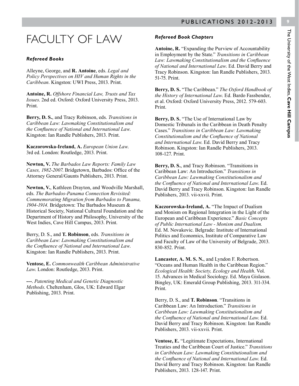## FACULTY OF LAW

#### *Refereed Books*

Alleyne, George, and **R. Antoine**, eds. *Legal and Policy Perspectives on HIV and Human Rights in the Caribbean*. Kingston: UWI Press, 2013. Print.

**Antoine, R.** *Offshore Financial Law, Trusts and Tax Issues*. 2nd ed. Oxford: Oxford University Press, 2013. Print.

**Berry, D. S.**, and Tracy Robinson, eds. *Transitions in Caribbean Law: Lawmaking Constitutionalism and the Confluence of National and International Law*. Kingston: Ian Randle Publishers, 2013. Print.

**Kaczorowska-Ireland, A.** *European Union Law*. 3rd ed. London: Routledge, 2013. Print.

**Newton, V.** *The Barbados Law Reports: Family Law Cases, 1982-2007*. Bridgetown, Barbados: Office of the Attorney General/Gaunts Publishers, 2013. Print.

**Newton, V.**, Kathleen Drayton, and Woodville Marshall, eds. *The Barbados-Panama Connection Revisited: Commemorating Migration from Barbados to Panama, 1904-1914.* Bridgetown: The Barbados Museum & Historical Society, National Cultural Foundation and the Department of History and Philosophy, University of the West Indies, Cave Hill Campus, 2013. Print.

Berry, D. S., and **T. Robinson**, eds. *Transitions in Caribbean Law: Lawmaking Constitutionalism and the Confluence of National and International Law*. Kingston: Ian Randle Publishers, 2013. Print.

**Ventose, E.** *Commonwealth Caribbean Administrative Law*. London: Routledge, 2013. Print.

**---**. *Patenting Medical and Genetic Diagnostic Methods*. Cheltenham, Glos, UK: Edward Elgar Publishing, 2013. Print.

#### *Refereed Book Chapters*

**Antoine, R.** "Expanding the Purview of Accountability in Employment by the State." *Transitions in Caribbean Law: Lawmaking Constitutionalism and the Confluence of National and International Law*. Ed. David Berry and Tracy Robinson. Kingston: Ian Randle Publishers, 2013. 51-75. Print.

**Berry, D. S.** "The Caribbean." *The Oxford Handbook of the History of International Law*. Ed. Bardo Fassbender, et al. Oxford: Oxford University Press, 2012. 579-603. Print.

**Berry, D. S.** "The Use of International Law by Domestic Tribunals in the Caribbean in Death Penalty Cases." *Transitions in Caribbean Law: Lawmaking Constitutionalism and the Confluence of National and International Law*. Ed. David Berry and Tracy Robinson. Kingston: Ian Randle Publishers, 2013. 108-127. Print.

**Berry, D. S.**, and Tracy Robinson. "Transitions in Caribbean Law: An Introduction." *Transitions in Caribbean Law: Lawmaking Constitutionalism and the Confluence of National and International Law*. Ed. David Berry and Tracy Robinson. Kingston: Ian Randle Publishers, 2013. vii-xxvii. Print.

**Kaczorowska-Ireland, A.** "The Impact of Dualism and Monism on Regional Integration in the Light of the European and Caribbean Experience." *Basic Concepts of Public International Law - Monism and Dualism.*  Ed. M. Novakovic. Belgrade: Institute of International Politics and Economics, Institute of Comparative Law and Faculty of Law of the University of Belgrade, 2013. 830-852. Print.

**Lancaster, A. M. S. N.**, and Lyndon F. Robertson. "Oceans and Human Health in the Caribbean Region." *Ecological Health: Society, Ecology and Health*. Vol. 15. Advances in Medical Sociology. Ed. Maya Gislason. Bingley, UK: Emerald Group Publishing, 2013. 311-334. Print.

Berry, D. S., and **T. Robinson**. "Transitions in Caribbean Law: An Introduction." *Transitions in Caribbean Law: Lawmaking Constitutionalism and the Confluence of National and International Law*. Ed. David Berry and Tracy Robinson. Kingston: Ian Randle Publishers, 2013. vii-xxvii. Print.

**Ventose, E.** "Legitimate Expectations, International Treaties and the Caribbean Court of Justice." *Transitions in Caribbean Law: Lawmaking Constitutionalism and the Confluence of National and International Law*. Ed. David Berry and Tracy Robinson. Kingston: Ian Randle Publishers, 2013. 128-147. Print.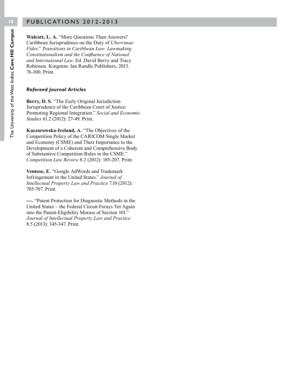**Walcott, L. A.** "More Questions Than Answers? Caribbean Jurisprudence on the Duty of *Uberrimae Fides*." *Transitions in Caribbean Law: Lawmaking Constitutionalism and the Confluence of National and International Law*. Ed. David Berry and Tracy Robinson. Kingston: Ian Randle Publishers, 2013. 76-100. Print.

#### *Refereed Journal Articles*

**Berry, D. S.** "The Early Original Jurisdiction Jurisprudence of the Caribbean Court of Justice: Promoting Regional Integration." *Social and Economic Studies* 61.2 (2012): 27-49. Print.

**Kaczorowska-Ireland, A.** "The Objectives of the Competition Policy of the CARICOM Single Market and Economy (CSME) and Their Importance to the Development of a Coherent and Comprehensive Body of Substantive Competition Rules in the CSME." *Competition Law Review* 8.2 (2012): 185-207. Print.

**Ventose, E.** "Google AdWords and Trademark Infringement in the United States." *Journal of Intellectual Property Law and Practice* 7.10 (2012): 705-707. Print.

**---.** "Patent Protection for Diagnostic Methods in the United States – the Federal Circuit Forays Yet Again into the Patent-Eligibility Morass of Section 101." *Journal of Intellectual Property Law and Practice* 8.5 (2013): 345-347. Print.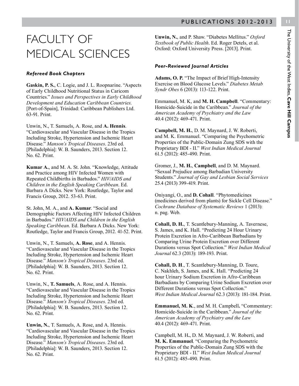## FACULTY OF MEDICAL SCIENCES

#### *Refereed Book Chapters*

**Gaskin, P. S.**, C. Logie, and J. L. Roopnarine. "Aspects of Early Childhood Nutritional Status in Caricom Countries." *Issues and Perspectives in Early Childhood Development and Education Caribbean Countries.* [Port-of-Spain], Trinidad: Caribbean Publishers Ltd. 63-91. Print.

Unwin, N., T. Samuels, A. Rose, and **A. Hennis**. "Cardiovascular and Vascular Disease in the Tropics Including Stroke, Hypertension and Ischemic Heart Disease." *Manson's Tropical Diseases*. 23rd ed. [Philadelphia]: W. B. Saunders, 2013. Section 12. No. 62. Print.

**Kumar A.**, and M. A. St. John. "Knowledge, Attitude and Practice among HIV Infected Women with Repeated Childbirths in Barbados." *HIV/AIDS and Children in the English Speaking Caribbean*. Ed. Barbara A Dicks. New York: Routledge, Taylor and Francis Group, 2012. 53-63. Print.

St. John, M. A., and **A. Kumar**. "Social and Demographic Factors Affecting HIV Infected Children in Barbados." *HIV/AIDS and Children in the English Speaking Caribbean*. Ed. Barbara A Dicks. New York: Routledge, Taylor and Francis Group, 2012. 41-52. Print.

Unwin, N., T. Samuels, **A. Rose**, and A. Hennis. "Cardiovascular and Vascular Disease in the Tropics Including Stroke, Hypertension and Ischemic Heart Disease." *Manson's Tropical Diseases*. 23rd ed. [Philadelphia]: W. B. Saunders, 2013. Section 12. No. 62. Print.

Unwin, N., **T. Samuels**, A. Rose, and A. Hennis. "Cardiovascular and Vascular Disease in the Tropics Including Stroke, Hypertension and Ischemic Heart Disease." *Manson's Tropical Diseases*. 23rd ed. [Philadelphia]: W. B. Saunders, 2013. Section 12. No. 62. Print.

**Unwin, N.**, T. Samuels, A. Rose, and A. Hennis. "Cardiovascular and Vascular Disease in the Tropics Including Stroke, Hypertension and Ischemic Heart Disease." *Manson's Tropical Diseases*. 23rd ed. [Philadelphia]: W. B. Saunders, 2013. Section 12. No. 62. Print.

**Unwin, N.**, and P. Shaw. "Diabetes Mellitus." *Oxford Textbook of Public Health*. Ed. Roger Detels, et al. Oxford: Oxford University Press. [2013]. Print.

#### *Peer-Reviewed Journal Articles*

**Adams, O. P.** "The Impact of Brief High-Intensity Exercise on Blood Glucose Levels." *Diabetes Metab Syndr Obes* 6 (2013): 113-122. Print.

Emmanuel, M. K, and **M. H. Campbell**. "Commentary: Homicide-Suicide in the Caribbean." *Journal of the American Academy of Psychiatry and the Law*  40.4 (2012): 469-471. Print.

**Campbell, M. H.**, D. M. Maynard, J. W. Roberti, and M. K. Emmanuel. "Comparing the Psychometric Properties of the Public-Domain Zung SDS with the Proprietary BDI - II." *West Indian Medical Journal*  61.5 (2012): 485-490. Print.

Gromer, J., **M. H.**, **Campbell**, and D. M. Maynard. "Sexual Prejudice among Barbadian University Students." *Journal of Gay and Lesbian Social Services* 25.4 (2013) 399-419. Print.

Oniyangi, O., and **D. Cohall**. "Phytomedicines (medicines derived from plants) for Sickle Cell Disease." *Cochrane Database of Systematic Reviews* 1 (2013): n. pag. Web.

**Cohall, D. H.**, T. Scantlebury-Manning, A. Tavernese, S. James, and K. Hall. "Predicting 24 Hour Urinary Protein Excretion in Afro-Caribbean Barbadians by Comparing Urine Protein Excretion over Different Durations versus Spot Collection." *West Indian Medical Journal* 62.3 (2013): 189-193. Print.

**Cohall, D. H**., T. Scantlebury-Manning, D. Toure, C. Nakhleh, S. James, and K. Hall. "Predicting 24 hour Urinary Sodium Excretion in Afro-Caribbean Barbadians by Comparing Urine Sodium Excretion over Different Durations versus Spot Collection." *West Indian Medical Journal* 62.3 (2013): 181-184. Print.

**Emmanuel, M. K**., and M. H. Campbell**.** "Commentary: Homicide-Suicide in the Caribbean." *Journal of the American Academy of Psychiatry and the Law*  40.4 (2012): 469-471. Print.

Campbell, M. H**.**, D. M. Maynard, J. W. Roberti, and **M. K. Emmanuel**. "Comparing the Psychometric Properties of the Public-Domain Zung SDS with the Proprietary BDI - II." *West Indian Medical Journal*  61.5 (2012): 485-490. Print.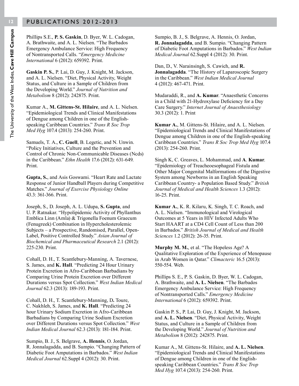Phillips S.E., **P. S. Gaskin**, D. Byer, W. L. Cadogan, A. Brathwaite, and A. L. Nielsen. "The Barbados Emergency Ambulance Service: High Frequency of Nontransported Calls. "*Emergency Medicine International* 6 (2012): 659392. Print.

**Gaskin P. S.**, P. Lai, D. Guy, J. Knight, M. Jackson, and A. L. Nielsen. "Diet, Physical Activity, Weight Status, and Culture in a Sample of Children from the Developing World." *Journal of Nutrition and Metabolism* 8 (2012): 242875. Print.

Kumar A., **M. Gittens-St. Hilaire**, and A. L. Nielsen. "Epidemiological Trends and Clinical Manifestations of Dengue among Children in one of the Englishspeaking Caribbean Countries." *Trans R Soc Trop Med Hyg* 107.4 (2013): 254-260. Print.

Samuels, T. A., **C. Guell**, B. Legetic, and N. Unwin. "Policy Initiatives, Culture and the Prevention and Control of Chronic Non-Communicable Diseases (Ncds) in the Caribbean." *Ethn Health* 17.6 (2012): 631-649. Print.

**Gupta, S.**, and Asis Goswami. "Heart Rate and Lactate Response of Junior Handball Players during Competitive Matches." *Journal of Exercise Physiology Online* 43.3: 361-366. Print.

Joseph, S., D. Joseph, A. L. Udupa, **S. Gupta**, and U. P. Ratnakar. "Hypolipidemic Activity of Phyllanthus Emblica Linn (Amla) & Trigonella Foenum Graecum (Fenugreek) Combination in Hypercholesterolemic Subjects – a Prospective, Randomised, Parallel, Open-Label, Positive Controlled Study." *Asian Journal of Biochemical and Pharmaceutical Research* 2.1 (2012): 225-230. Print.

Cohall, D. H., T. Scantlebury-Manning, A. Tavernese, S. James, and **K. Hall**. "Predicting 24 Hour Urinary Protein Excretion in Afro-Caribbean Barbadians by Comparing Urine Protein Excretion over Different Durations versus Spot Collection." *West Indian Medical Journal* 62.3 (2013): 189-193. Print.

Cohall, D. H., T. Scantlebury-Manning, D**.** Toure, C. Nakhleh, S. James, and **K. Hall**. "Predicting 24 hour Urinary Sodium Excretion in Afro-Caribbean Barbadians by Comparing Urine Sodium Excretion over Different Durations versus Spot Collection." *West Indian Medical Journal* 62.3 (2013): 181-184. Print.

Sumpio, B. J., S. Belgrave, **A. Hennis**, O. Jordan, R. Jonnalagadda, and B. Sumpio. "Changing Pattern of Diabetic Foot Amputations in Barbados." *West Indian Medical Journal* 62.Suppl 4 (2012): 30. Print.

Sumpio, B. J., S. Belgrave, A. Hennis, O. Jordan, **R. Jonnalagadda**, and B. Sumpio. "Changing Pattern of Diabetic Foot Amputations in Barbados." *West Indian Medical Journal* 62.Suppl 4 (2012): 30. Print.

Dan, D., V. Narainsingh, S. Cawich, and **R. Jonnalagadda**. "The History of Laparoscopic Surgery in the Caribbean." *West Indian Medical Journal*  4 (2012): 467-471. Print.

Mudaraddi, R., and **A. Kumar**. "Anaesthetic Concerns in a Child with 21-Hydroxylase Deficiency for a Day Care Surgery." *Internet Journal of Anaesthesiology*  30.3 (2012): 1. Print

**Kumar A.**, M. Gittens-St. Hilaire, and A. L. Nielsen. "Epidemiological Trends and Clinical Manifestations of Dengue among Children in one of the English-speaking Caribbean Countries." *Trans R Soc Trop Med Hyg* 107.4 (2013): 254-260. Print.

Singh K, C. Greaves, L. Mohammad, and **A**. **Kumar**. "Epidemiology of Treacheoesophageal Fistula and Other Major Congenital Malformations of the Digestive System among Newborns in an English Speaking Caribbean Country- a Population Based Study." *British Journal of Medical and Health Sciences* 1.3 (2012): 16-25. Print.

**Kumar A.**, K. R. Kilaru, K. Singh, T. C. Roach, and A. L. Nielsen. "Immunological and Virological Outcomes at 5 Years in HIV Infected Adults Who Start HAART at a CD4 Cell Count of Less than 200 in Barbados." *British Journal of Medical and Health Sciences* 1.2 (2012): 26-35. Print.

**Murphy M. M.**, et al. "The Hopeless Age? A Qualitative Exploration of the Experience of Menopause in Arab Women in Qatar." *Climacteric* 16.5 (2013): 550-554. Web.

Phillips S. E., P. S. Gaskin, D. Byer, W. L. Cadogan, A. Brathwaite, and **A. L. Nielsen**. "The Barbados Emergency Ambulance Service: High Frequency of Nontransported Calls." *Emergency Medicine International* 6 (2012): 659392. Print.

Gaskin P. S., P. Lai, D. Guy, J. Knight, M. Jackson, and **A. L. Nielsen**. "Diet, Physical Activity, Weight Status, and Culture in a Sample of Children from the Developing World." *Journal of Nutrition and Metabolism* 8 (2012): 242875. Print.

Kumar A., M. Gittens-St. Hilaire, and **A. L. Nielsen**. "Epidemiological Trends and Clinical Manifestations of Dengue among Children in one of the Englishspeaking Caribbean Countries." *Trans R Soc Trop Med Hyg* 107.4 (2013): 254-260. Print.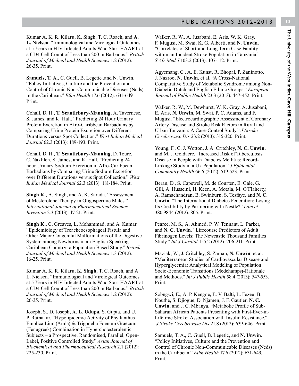Kumar A, K. R. Kilaru, K. Singh, T. C. Roach, and **A. L. Nielsen**. "Immunological and Virological Outcomes at 5 Years in HIV Infected Adults Who Start HAART at a CD4 Cell Count of Less than 200 in Barbados." *British Journal of Medical and Health Sciences* 1.2 (2012): 26-35. Print.

**Samuels, T. A**., C. Guell, B. Legetic ,and N. Unwin. "Policy Initiatives, Culture and the Prevention and Control of Chronic Non-Communicable Diseases (Ncds) in the Caribbean." *Ethn Health* 17.6 (2012): 631-649. Print.

Cohall, D. H., **T. Scantlebury-Manning**, A. Tavernese, S. James, and K. Hall. "Predicting 24 Hour Urinary Protein Excretion in Afro-Caribbean Barbadians by Comparing Urine Protein Excretion over Different Durations versus Spot Collection." *West Indian Medical Journal* 62.3 (2013): 189-193. Print.

Cohall, D. H., **T. Scantlebury-Manning**, D. Toure, C. Nakhleh, S. James, and K. Hall. "Predicting 24 hour Urinary Sodium Excretion in Afro-Caribbean Barbadians by Comparing Urine Sodium Excretion over Different Durations versus Spot Collection." *West Indian Medical Journal* 62.3 (2013): 181-184. Print.

**Singh K.**, A. Singh, and A. K. Sarada. "Assessment of Mesterolone Therapy in Oligospermic Males." *International Journal of Pharmaceutical Science Invention* 2.3 (2013): 17-21. Print.

**Singh K.**, C. Greaves, L. Mohammad, and A. Kumar. "Epidemiology of Treacheoesophageal Fistula and Other Major Congenital Malformations of the Digestive System among Newborns in an English Speaking Caribbean Country- a Population Based Study." *British Journal of Medical and Health Sciences* 1.3 (2012): 16-25. Print.

Kumar A, K. R. Kilaru, **K. Singh**, T. C. Roach, and A. L. Nielsen. "Immunological and Virological Outcomes at 5 Years in HIV Infected Adults Who Start HAART at a CD4 Cell Count of Less than 200 in Barbados." *British Journal of Medical and Health Sciences* 1.2 (2012): 26-35. Print.

Joseph, S., D. Joseph, **A. L. Udupa**, S. Gupta, and U. P. Ratnakar. "Hypolipidemic Activity of Phyllanthus Emblica Linn (Amla) & Trigonella Foenum Graecum (Fenugreek) Combination in Hypercholesterolemic Subjects – a Prospective, Randomised, Parallel, Open-Label, Positive Controlled Study." *Asian Journal of Biochemical and Pharmaceutical Research* 2.1 (2012): 225-230. Print.

Walker, R. W., A. Jusabani, E. Aris, W. K. Gray, F. Mugusi, M. Swai, K. G. Alberti, and **N. Unwin**. "Correlates of Short-and Long-Term Case Fatality within an Incident Stroke Population in Tanzania." *S Afr Med J* 103.2 (2013): 107-112. Print.

Agyemang, C., A. E. Kunst, R. Bhopal, P. Zaninotto, J. Nazroo, **N. Unwin**, et al. "A Cross-National Comparative Study of Metabolic Syndrome among Non-Diabetic Dutch and English Ethnic Groups." *European Journal of Public Health* 23.3 (2013): 447-452. Print.

Walker, R. W., M. Dewhurst, W. K. Gray, A. Jusabani, E. Aris, **N. Unwin**, M. Swai, P. C. Adams, and F. Mugusi. "Electrocardiographic Assessment of Coronary Artery Disease and Stroke Risk Factors in Rural and Urban Tanzania: A Case-Control Study." *J Stroke Cerebrovasc Dis* 23.2 (2013): 315-320. Print.

Young, F., C. J. Wotton, J. A. Critchley, **N. C. Unwin**, and M. J. Goldacre. "Increased Risk of Tuberculosis Disease in People with Diabetes Mellitus: Record-Linkage Study in a Uk Population." *J Epidemiol Community Health* 66.6 (2012): 519-523. Print.

Beran, D., S. Capewell, M. de Courten, E. Gale, G. Gill, A. Husseini, H. Keen, A. Motala, M. O'Flaherty, A. Ramachandran, B. Swinburn, S. Tesfaye, and **N. C. Unwin**. "The International Diabetes Federation: Losing Its Credibility by Partnering with Nestle?" *Lancet*  380.9844 (2012): 805. Print.

Pearce, M. S., A. Ahmed, P. W. Tennant, L. Parker, and **N. C. Unwin**. "Lifecourse Predictors of Adult Fibrinogen Levels: The Newcastle Thousand Families Study." *Int J Cardiol* 155.2 (2012): 206-211. Print.

Maziak, W., J. Critchley, S. Zaman, **N. Unwin**, et al. "Mediterranean Studies of Cardiovascular Disease and Hyperglycemia: Analytical Modeling of Population Socio-Economic Transitions (Medchamps)-Rationale and Methods." *Int J Public Health* 58.4 (2013): 547-553. Print.

Sobngwi, E., A. P. Kengne, E. V. Balti, L. Fezeu, B. Nouthe, S. Djiogue, D. Njamen, J. F. Gautier, **N. C. Unwin**, and J. C. Mbanya. "Metabolic Profile of Sub-Saharan African Patients Presenting with First-Ever-in-Lifetime Stroke: Association with Insulin Resistance." *J Stroke Cerebrovasc Dis* 21.8 (2012): 639-646. Print.

Samuels, T. A., C. Guell, B. Legetic, and **N. Unwin**. "Policy Initiatives, Culture and the Prevention and Control of Chronic Non-Communicable Diseases (Ncds) in the Caribbean." *Ethn Health* 17.6 (2012): 631-649. Print.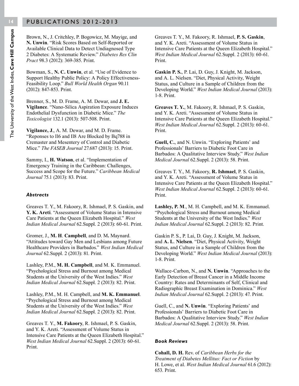Brown, N., J. Critchley, P. Bogowicz, M. Mayige, and **N. Unwin**. "Risk Scores Based on Self-Reported or Available Clinical Data to Detect Undiagnosed Type 2 Diabetes: A Systematic Review." *Diabetes Res Clin Pract* 98.3 (2012): 369-385. Print.

Bowman, S., **N. C. Unwin**, et al. "Use of Evidence to Support Healthy Public Policy: A Policy Effectiveness-Feasibility Loop." *Bull World Health Organ* 90.11 (2012): 847-853. Print.

Brenner, S., M. D. Frame, A. M. Dewar, and **J. E. Vigilance**. "Nano-Silica Aspiration Exposure Induces Endothelial Dysfunction in Diabetic Mice." *The Toxicologist* 132.1 (2013): 507-508. Print.

**Vigilance, J**., A. M. Dewar, and M. D. Frame. "Reponses to Il6 and Il8 Are Blocked by Bq788 in Cremaster and Mesentery of Control and Diabetic Mice." *The FASEB Journal* 27.687 (2013): 15. Print.

Sammy, I., **H. Watson**, et al. "Implementation of Emergency Training in the Caribbean: Challenges, Success and Scope for the Future." *Caribbean Medical Journal* 75.1 (2013): 83. Print.

#### *Abstracts*

Greaves T. Y., M. Fakoory, R. Ishmael, P. S. Gaskin, and **Y. K. Areti**. "Assessment of Volume Status in Intensive Care Patients at the Queen Elizabeth Hospital." *West Indian Medical Journal* 62.Suppl. 2 (2013): 60-61. Print.

Gromer, J., **M. H**. **Campbell**, and D. M**.** Maynard. "Attitudes toward Gay Men and Lesbians among Future Healthcare Providers in Barbados." *West Indian Medical Journal* 62.Suppl. 2 (2013): 81. Print.

Lashley, P.M., **M. H. Campbell**, and M. K. Emmanuel. "Psychological Stress and Burnout among Medical Students at the University of the West Indies." *West Indian Medical Journal* 62.Suppl. 2 (2013): 82. Print.

Lashley, P.M., M. H. Campbell, and **M. K. Emmanuel**. "Psychological Stress and Burnout among Medical Students at the University of the West Indies." *West Indian Medical Journal* 62.Suppl. 2 (2013): 82. Print.

Greaves T. Y., **M. Fakoory**, R. Ishmael, P. S. Gaskin, and Y. K. Areti. "Assessment of Volume Status in Intensive Care Patients at the Queen Elizabeth Hospital." *West Indian Medical Journal* 62.Suppl. 2 (2013): 60-61. Print.

Greaves T. Y., M. Fakoory, R. Ishmael, **P. S. Gaskin**, and Y. K. Areti. "Assessment of Volume Status in Intensive Care Patients at the Queen Elizabeth Hospital." *West Indian Medical Journal* 62.Suppl. 2 (2013): 60-61. Print.

**Gaskin P. S.**, P. Lai, D. Guy, J. Knight, M. Jackson, and A. L. Nielsen. "Diet, Physical Activity, Weight Status, and Culture in a Sample of Children from the Developing World." *West Indian Medical Journal* (2013): 1-8. Print.

**Greaves T. Y.**, M. Fakoory, R. Ishmael, P. S. Gaskin, and Y. K. Areti. "Assessment of Volume Status in Intensive Care Patients at the Queen Elizabeth Hospital." *West Indian Medical Journal* 62.Suppl. 2 (2013): 60-61. Print.

**Guell, C.**, and N. Unwin. "Exploring Patients' and Professionals' Barriers to Diabetic Foot Care in Barbados: A Qualitative Interview Study." *West Indian Medical Journal* 62.Suppl. 2 (2013): 58. Print.

Greaves T. Y., M. Fakoory, **R. Ishmael**, P. S. Gaskin, and Y. K. Areti. "Assessment of Volume Status in Intensive Care Patients at the Queen Elizabeth Hospital." *West Indian Medical Journal* 62.Suppl. 2 (2013): 60-61. Print.

**Lashley, P. M**., M. H. Campbell, and M. K. Emmanuel. "Psychological Stress and Burnout among Medical Students at the University of the West Indies." *West Indian Medical Journal* 62.Suppl. 2 (2013): 82. Print.

Gaskin P. S., P. Lai, D. Guy, J. Knight, M. Jackson, and **A. L**. **Nielsen**. "Diet, Physical Activity, Weight Status, and Culture in a Sample of Children from the Developing World." *West Indian Medical Journal* (2013): 1-8. Print.

Wallace-Carbon, N., and **N. Unwin**. "Approaches to the Early Detection of Breast Cancer in a Middle Income Country: Rates and Determinants of Self, Clinical and Radiographic Breast Examination in Dominica." *West Indian Medical Journal* 62.Suppl. 2 (2013): 47. Print.

Guell, C., and **N. Unwin**. "Exploring Patients' and Professionals' Barriers to Diabetic Foot Care in Barbados: A Qualitative Interview Study." *West Indian Medical Journal* 62.Suppl. 2 (2013): 58. Print.

#### *Book Reviews*

**Cohall, D. H.** Rev. of *Caribbean Herbs for the Treatment of Diabetes Mellitus: Fact or Fiction* by H. Lowe, et al. *West Indian Medical Journal* 61.6 (2012): 653. Print.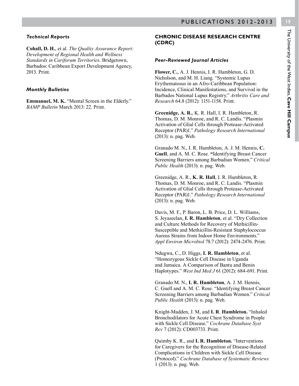#### *Technical Reports*

**Cohall, D. H.**, et al. *The Quality Assurance Report: Development of Regional Health and Wellness Standards in Cariforum Territories.* Bridgetown, Barbados: Caribbean Export Development Agency, 2013. Print.

#### *Monthly Bulletins*

**Emmanuel, M. K.** "Mental Screen in the Elderly." *BAMP Bulletin* March 2013: 22. Print.

#### **CHRONIC DISEASE RESEARCH CENTRE (CDRC)**

#### *Peer-Reviewed Journal Articles*

**Flower, C.**, A. J. Hennis, I. R. Hambleton, G. D. Nicholson, and M. H. Liang. "Systemic Lupus Erythematosus in an Afro-Caribbean Population: Incidence, Clinical Manifestations, and Survival in the Barbados National Lupus Registry." *Arthritis Care and Research* 64.8 (2012): 1151-1158. Print.

**Greenidge, A. R.**, K. R. Hall, I. R. Hambleton, R. Thomas, D. M. Monroe, and R. C. Landis. "Plasmin Activation of Glial Cells through Protease-Activated Receptor (PAR)1." *Pathology Research International*  (2013): n. pag. Web.

Granado M. N., I. R. Hambleton, A. J. M. Hennis, **C. Guell**, and A. M. C. Rose. **"**Identifying Breast Cancer Screening Barriers among Barbadian Women." *Critical Public Health* (2013): n. pag. Web.

Greenidge, A. R., **K. R. Hall**, I. R. Hambleton, R. Thomas, D. M. Monroe, and R. C. Landis. "Plasmin Activation of Glial Cells through Protease-Activated Receptor (PAR)1." *Pathology Research International*  (2013): n. pag. Web.

Davis, M. F., P. Baron, L. B. Price, D. L. Williams, S. Jeyaseelan, **I. R. Hambleton**, et al. "Dry Collection and Culture Methods for Recovery of Methicillin-Susceptible and Methicillin-Resistant Staphylococcus Aureus Strains from Indoor Home Environments." *Appl Environ Microbiol* 78.7 (2012): 2474-2476. Print.

Ndugwa, C., D. Higgs, **I. R. Hambleton**, et al. "Homozygous Sickle Cell Disease in Uganda and Jamaica. A Comparison of Bantu and Benin Haplotypes." *West Ind Med J* 61 (2012): 684-691. Print.

Granado M. N., **I. R. Hambleton**, A. J. M. Hennis, C. Guell and A. M. C. Rose. "Identifying Breast Cancer Screening Barriers among Barbadian Women." *Critical Public Health* (2013): n. pag. Web.

Knight-Madden, J. M, and **I. R**. **Hambleton.** "Inhaled Bronchodilators for Acute Chest Syndrome in People with Sickle Cell Disease." *Cochrane Database Syst Rev* 7 (2012): CD003733. Print.

Quimby K. R., and **I. R. Hambleton.** "Interventions for Caregivers for the Recognition of Disease-Related Complications in Children with Sickle Cell Disease (Protocol)." *Cochrane Database of Systematic Reviews*  1 (2013): n. pag. Web.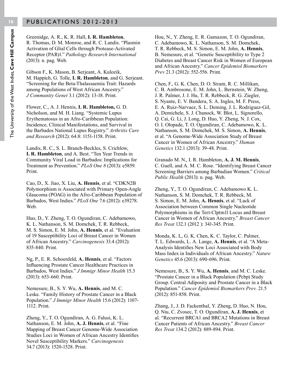Greenidge, A. R., K. R. Hall, **I. R. Hambleton**, R. Thomas, D. M. Monroe, and R. C. Landis. "Plasmin Activation of Glial Cells through Protease-Activated Receptor (PAR)1." *Pathology Research International*  (2013): n. pag. Web.

Gibson F., K. Mason, B. Serjeant, A. Kulozik, M. Happich, G. Tolle, **I. R. Hambleton**, and G. Serjeant. "Screening for the Beta-Thalassaemia Trait: Hazards among Populations of West African Ancestry." *J Community Genet* 3.1 (2012): 13-18. Print.

Flower, C., A. J. Hennis, **I. R. Hambleton,** G. D. Nicholson, and M. H. Liang. "Systemic Lupus Erythematosus in an Afro-Caribbean Population: Incidence, Clinical Manifestations, and Survival in the Barbados National Lupus Registry." *Arthritis Care and Research* (2012): 64.8: 1151-1158. Print.

Landis, R. C., S. L. Branch-Beckles, S. Crichlow, **I. R. Hambleton**, and A. Best. "Ten Year Trends in Community Viral Load in Barbados: Implications for Treatment as Prevention." *PLoS One 8* (2013): e5859. Print.

Cao, D., X. Jiao, X. Liu, **A. Hennis**, et al. "CDKN2B Polymorphism is Associated with Primary Open-Angle Glaucoma (POAG) in the Afro-Caribbean Population of Barbados, West Indies." *PLoS One* 7.6 (2012): e39278. Web.

Huo, D., Y. Zheng, T. O. Ogundiran, C. Adebamowo, K. L. Nathanson, S. M. Domchek, T. R. Rebbeck, M. S. Simon, E. M. John, **A. Hennis**, et al. "Evaluation of 19 Susceptibility Loci of Breast Cancer in Women of African Ancestry." *Carcinogenesis* 33.4 (2012): 835-840. Print.

Ng, P., E. R. Schoenfeld, **A. Hennis**, et al. "Factors Influencing Prostate Cancer Healthcare Practices in Barbados, West Indies." *J Immigr Minor Health* 15.3 (2013): 653-660. Print.

Nemesure, B., S. Y. Wu, **A. Hennis**, and M. C. Leske. "Family History of Prostate Cancer in a Black Population." *J Immigr Minor Health* 15.6 (2012): 1107- 1112. Print.

Zheng, Y., T. O. Ogundiran, A. G. Falusi, K. L. Nathanson, E. M. John, **A. J. Hennis**, et al. "Fine Mapping of Breast Cancer Genome-Wide Association Studies Loci in Women of African Ancestry Identifies Novel Susceptibility Markers." *Carcinogenesis*  34.7 (2013): 1520-1528. Print.

Hou, N., Y. Zheng, E. R. Gamazon, T. O. Ogundiran, C. Adebamowo, K. L. Nathanson, S. M. Domchek, T. R. Rebbeck, M. S. Simon, E. M. John, **A. Hennis**, B. Nemesure, et al. "Genetic Susceptibility to Type 2 Diabetes and Breast Cancer Risk in Women of European and African Ancestry." *Cancer Epidemiol Biomarkers Prev* 21.3 (2012): 552-556. Print.

Chen, F., G. K. Chen, D. O. Stram, R. C. Millikan, C. B. Ambrosone, E. M. John, L. Bernstein, W. Zheng, J. R. Palmer, J. J. Hu, T. R. Rebbeck, R. G. Ziegler, S. Nyante, E. V. Bandera, S. A. Ingles, M. F. Press, E. A. Ruiz-Narvaez, S. L. Deming, J. L. Rodriguez-Gil, A. Demichele, S. J. Chanock, W. Blot, L. Signorello, Q. Cai, G. Li, J. Long, D. Huo, Y. Zheng, N. J. Cox, O. I. Olopade, T. O. Ogundiran, C. Adebamowo, K. L. Nathanson, S. M. Domchek, M. S. Simon, **A. Hennis**, et al. "A Genome-Wide Association Study of Breast Cancer in Women of African Ancestry." *Human Genetics* 132.1 (2013): 39-48. Print.

Granado M. N., I. R. Hambleton, **A. J. M. Hennis**, C. Guell, and A. M. C. Rose. "Identifying Breast Cancer Screening Barriers among Barbadian Women." *Critical Public Health* (2013): n. pag. Web.

Zheng, Y., T. O. Ogundiran, C. Adebamowo K. L. Nathanson, S. M. Domchek, T. R. Rebbeck, M. S. Simon, E. M. John, **A. Hennis**, et al. "Lack of Association between Common Single Nucleotide Polymorphisms in the Tert-Clptm1l Locus and Breast Cancer in Women of African Ancestry." *Breast Cancer Res Treat* 132.1 (2012 ): 341-345. Print.

Monda, K. L, G. K. Chen, K. C. Taylor, C. Palmer, T. L. Edwards, L. A. Lange, **A. Hennis**, et al. "A Meta-Analysis Identifies New Loci Associated with Body Mass Index in Individuals of African Ancestry." *Nature Genetics* 45.6 (2013): 690-696. Print.

Nemesure, B., S. Y. Wu, **A. Hennis**, and M. C. Leske. "Prostate Cancer in a Black Population (Pcbp) Study Group. Central Adiposity and Prostate Cancer in a Black Population." *Cancer Epidemiol Biomarkers Prev.* 21.5 (2012): 851-858. Print.

Zhang, J., J. D. Fackenthal, Y. Zheng, D. Huo, N. Hou, Q. Niu, C. Zvosec, T. O. Ogundiran, **A. J. Hennis**, et al. "Recurrent BRCA1 and BRCA2 Mutations in Breast Cancer Patients of African Ancestry." *Breast Cancer Res Treat* 134.2 (2012): 889-894. Print.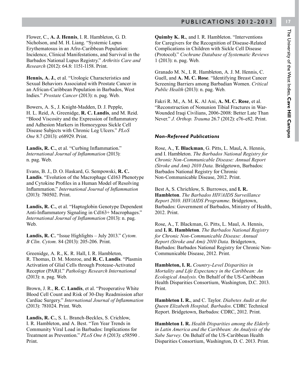The University of the West Indies, Cave Hill Campus The University of the West Indies, **Cave Hill Campus**

Flower, C., **A. J. Hennis**, I. R. Hambleton, G. D. Nicholson, and M. H. Liang. "Systemic Lupus Erythematosus in an Afro-Caribbean Population: Incidence, Clinical Manifestations, and Survival in the Barbados National Lupus Registry." *Arthritis Care and Research* (2012): 64.8: 1151-1158. Print.

**Hennis, A. J.**, et al. "Urologic Characteristics and Sexual Behaviors Associated with Prostate Cancer in an African-Caribbean Population in Barbados, West Indies." *Prostate Cancer* (2013): n. pag. Web.

Bowers, A. S., J. Knight-Madden, D. J. Pepple, H. L. Reid, A. Greenidge, **R. C. Landis**, and M. Reid. "Blood Viscosity and the Expression of Inflammatory and Adhesion Markers in Homozygous Sickle Cell Disease Subjects with Chronic Leg Ulcers." *PLoS One* 8.7 (2013): e68929. Print.

**Landis, R. C.**, et al. "Curbing Inflammation." *International Journal of Inflammation* (2013): n. pag. Web.

Evans, B. J., D. O. Haskard, G. Sempowski, **R. C. Landis**. "Evolution of the Macrophage Cd163 Phenotype and Cytokine Profiles in a Human Model of Resolving Inflammation." *International Journal of Inflammation* (2013): 780502. Print.

**Landis, R. C.**, et al. "Haptoglobin Genotype Dependent Anti-Inflammatory Signaling in Cd163+ Macrophages." *International Journal of Inflammation* (2013): n. pag. Web.

**Landis, R. C.** "Issue Highlights – July 2013." *Cytom. B Clin. Cytom.* 84 (2013): 205-206. Print.

Greenidge, A. R., K. R. Hall, I. R. Hambleton, R. Thomas, D. M. Monroe, and **R. C. Landis**. "Plasmin Activation of Glial Cells through Protease-Activated Receptor (PAR)1." *Pathology Research International*  (2013): n. pag. Web.

Brown, J. R., **R. C. Landis**, et al. "Preoperative White Blood Cell Count and Risk of 30-Day Readmission after Cardiac Surgery." *International Journal of Inflammation*  (2013): 781024. Print. Web.

**Landis, R. C.**, S. L. Branch-Beckles, S. Crichlow, I. R. Hambleton, and A. Best. "Ten Year Trends in Community Viral Load in Barbados: Implications for Treatment as Prevention." *PLoS One 8* (2013): e58590 . Print.

**Quimby K. R.**, and I. R. Hambleton. "Interventions for Caregivers for the Recognition of Disease-Related Complications in Children with Sickle Cell Disease (Protocol)." *Cochrane Database of Systematic Reviews*  1 (2013): n. pag. Web.

Granado M. N., I. R. Hambleton, A. J. M. Hennis, C. Guell, and **A. M. C. Rose**. "Identifying Breast Cancer Screening Barriers among Barbadian Women. *Critical Public Health* (2013): n. pag. Web.

Fakri R. M., A. M. K. Al Ani, **A. M. C. Rose**, et al. "Reconstruction of Nonunion Tibial Fractures in War-Wounded Iraqi Civilians, 2006-2008: Better Late Than Never." *J. Orthop. Trauma* 26.7 (2012): e76-e82. Print.

#### *Non-Refereed Publications*

Rose, A., **T. Blackman**, G. Pitts, L. Maul**,** A. Hennis, and I. Hambleton. *The Barbados National Registry for Chronic Non-Communicable Disease: Annual Report (Stroke and Ami) 2010 Data.* Bridgetown, Barbados: Barbados National Registry for Chronic Non-Communicable Disease, 2012. Print.

Best A, S. Chrichlow, S. Burrowes, and **I. R. Hambleton**. *The Barbados HIV/AIDS Surveillance Report 2010. HIV/AIDS Programme*. Bridgetown, Barbados: Government of Barbados, Ministry of Health, 2012. Print.

Rose, A., T. Blackman, G. Pitts, L. Maul, A. Hennis, and **I. R. Hambleton**. *The Barbados National Registry for Chronic Non-Communicable Disease: Annual Report (Stroke and Ami) 2010 Data.* Bridgetown, Barbados: Barbados National Registry for Chronic Non-Communicable Disease, 2012. Print.

**Hambleton, I. R.** *Country-Level Disparities in Mortality and Life Expectancy in the Caribbean: An Ecological Analysis.* On Behalf of the US-Caribbean Health Disparities Consortium, Washington, D.C. 2013. Print.

**Hambleton I. R.**, and C. Taylor. *Diabetes Audit at the Queen Elizabeth Hospital, Barbados*. CDRC Technical Report. Bridgetown, Barbados: CDRC, 2012. Print.

**Hambleton I. R.** *Health Disparities among the Elderly in Latin America and the Caribbean: An Analysis of the Sabe Survey.* On Behalf of the US-Caribbean Health Disparities Consortium, Washington, D. C. 2013. Print.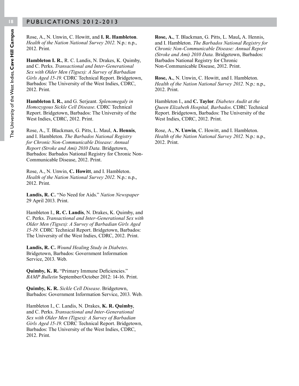Rose, A., N. Unwin, C. Howitt, and **I. R. Hambleton**. *Health of the Nation National Survey 2012.* N.p.: n.p., 2012. Print.

**Hambleton I. R.**, R. C. Landis, N. Drakes, K. Quimby, and C. Perks. *Transactional and Inter-Generational Sex with Older Men (Tigsex): A Survey of Barbadian Girls Aged 15-19.* CDRC Technical Report. Bridgetown, Barbados: The University of the West Indies, CDRC, 2012. Print.

**Hambleton I. R.**, and G. Serjeant. *Splenomegaly in Homozygous Sickle Cell Disease*. CDRC Technical Report. Bridgetown, Barbados: The University of the West Indies, CDRC, 2012. Print.

Rose, A., T. Blackman, G. Pitts, L. Maul, **A. Hennis**, and I. Hambleton. *The Barbados National Registry for Chronic Non-Communicable Disease: Annual Report (Stroke and Ami) 2010 Data.* Bridgetown, Barbados: Barbados National Registry for Chronic Non-Communicable Disease, 2012. Print.

Rose, A., N. Unwin, **C. Howitt**, and I. Hambleton. *Health of the Nation National Survey 2012.* N.p.: n.p., 2012. Print.

**Landis, R. C.** "No Need for Aids." *Nation Newspaper* 29 April 2013. Print.

Hambleton I., **R. C. Landis**, N. Drakes, K. Quimby, and C. Perks. *Transactional and Inter-Generational Sex with Older Men (Tigsex): A Survey of Barbadian Girls Aged 15-19.* CDRC Technical Report. Bridgetown, Barbados: The University of the West Indies, CDRC, 2012. Print.

**Landis, R. C.** *Wound Healing Study in Diabetes*. Bridgetown, Barbados: Government Information Service, 2013. Web.

**Quimby, K. R.** "Primary Immune Deficiencies." *BAMP Bulletin* September/October 2012: 14-16. Print.

**Quimby, K. R.** *Sickle Cell Disease*. Bridgetown, Barbados: Government Information Service, 2013. Web.

Hambleton I., C. Landis, N. Drakes, **K. R. Quimby**, and C. Perks. *Transactional and Inter-Generational Sex with Older Men (Tigsex): A Survey of Barbadian Girls Aged 15-19.* CDRC Technical Report. Bridgetown, Barbados: The University of the West Indies, CDRC, 2012. Print.

**Rose, A.**, T. Blackman, G. Pitts, L. Maul**,** A. Hennis, and I. Hambleton. *The Barbados National Registry for Chronic Non-Communicable Disease: Annual Report (Stroke and Ami) 2010 Data. Bridgetown, Barbados:* Barbados National Registry for Chronic Non-Communicable Disease, 2012. Print.

**Rose, A.**, N. Unwin, C. Howitt, and I. Hambleton. *Health of the Nation National Survey 2012.* N.p.: n.p., 2012. Print.

Hambleton I., and **C. Taylor**. *Diabetes Audit at the Queen Elizabeth Hospital, Barbados*. CDRC Technical Report. Bridgetown, Barbados: The University of the West Indies, CDRC, 2012. Print.

Rose, A., **N. Unwin**, C. Howitt, and I. Hambleton. *Health of the Nation National Survey 2012.* N.p.: n.p., 2012. Print.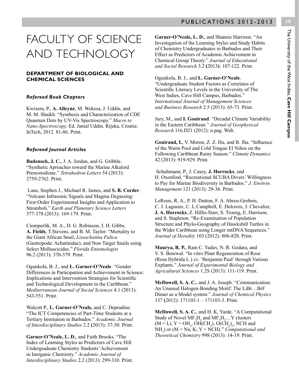## FACULTY OF SCIENCE AND TECHNOLOGY

#### **DEPARTMENT OF BIOLOGICAL AND CHEMICAL SCIENCES**

#### *Refereed Book Chapters*

Kwizera, P., **A. Alleyne**, M. Wekesa, J. Uddin, and M. M. Shaikh. "Synthesis and Characterization of CDE Quantum Dots by UV-Vis Spectroscopy." *Macro to Nano-Spectroscopy.* Ed. Jamal Uddin. Rijeka, Croatia: InTech, 2012. 81-86. Print.

#### *Refereed Journal Articles*

**Badenock, J. C.**, J. A. Jordan, and G. Gribble. "Synthetic Aproaches toward the Marine Alkaloid Prenostodione." *Tetrahedron Letters* 54 (2013): 2759-2762. Print.

 Lane, Stephen J., Michael R. James, and **S. B. Corder**. "Volcano Infrasonic Signals and Magma Degassing: First-Order Experimental Insights and Application to Stromboli." *Earth and Planetary Science Letters* 377-378 (2013): 169-179. Print.

Ciomperlik, M. A., D. G. Robinson, I. H. Gibbs, **A. Fields**, T.Stevens, and B. M. Taylor. "Mortality to the Giant African Snail, *Lissachatina Fulica* (Gastropoda: Achatinidae), and Non-Target Snails using Select Molluscicides." *Florida Entomologist* 96.2 (2013): 370-379. Print.

Ogunkola, B. J., and **L. Garner-O'Neale**. "Gender Differences in Participation and Achievement in Science: Implications and Intervention Strategies for Scientific and Technological Development in the Caribbean." *Mediterranean Journal of Social Sciences* 4*.*1 (2013): 543-551. Print.

Walcott P., **L. Garner-O'Neale,** and C. Depradine. "The ICT Competencies of Part-Time Students at a Tertiary Institution in Barbados." *Academic Journal of Interdisciplinary Studies* 2.2 **(**2013): 37-50. Print.

**Garner-O'Neale, L. D.**, and Faith Brooks. "The Index of Learning Styles as Predictors of Cave Hill Undergraduate Chemistry Students' Achievement in Inorganic Chemistry." *Academic Journal of Interdisciplinary Studies* 2.2 (2013): 299-310. Print.

**Garner-O'Neale, L. D.**, and Shannie Harrison. "An Investigation of the Learning Styles and Study Habits of Chemistry Undergraduates in Barbados and Their Effect as Predictors of Academic Achievement in Chemical Group Theory." *Journal of Educational and Social Research* 3.2 **(**2013**)**: 107-122. Print.

Ogunkola, B. J., and **L. Garner-O'Neale**. "Undergraduate Student Factors as Correlates of Scientific Literacy Levels in the University of The West Indies, Cave Hill Campus, Barbados." *International Journal of Management Sciences and Business Research* 2.5 (2013): 65-73. Print.

Jury, M., and **I. Gouirand**. "Decadal Climate Variability in the Eastern Caribbean." *Journal of Geophysical Research* 116.D21 (2012): n.pag. Web.

**Gouirand, I.**, V. Moron, Z. Z. Hu, and B. Jha. "Influence of the Warm Pool and Cold Tongue El Niños on the Following Caribbean Rainy Season." *Climate Dynamics* 42 (2013): 919-929. Print.

 Schuhmann, P., J. Casey, **J. Horrocks**, and H. Oxenford. "Recreational SCUBA Divers' Willingness to Pay for Marine Biodiversity in Barbados." *J. Environ. Management* 121 (2013): 29-36. Print.

LeRoux, R. A., P. H. Dutton, F. A. Abreu-Grobois, C. J. Lagueux, C. L.Campbell, E. Delcroix, J. Chevalier, **J. A. Horrocks**, Z. Hillis-Starr, S. Troeng, E. Harrison, and S. Stapleton. "Re-Examination of Population Structure and Phylo-Geography of Hawksbill Turtles in the Wider Caribbean using Longer mtDNA Sequences." *Journal of Heredity* 103 (2012): 806-820. Print.

**Maurya, R. P.**, Ram C. Yadav, N. R. Godara, and V. S. Beniwal. "In vitro Plant Regeneration of Rose (Rosa Hybrida L.) cv. 'Benjamin Paul' through Various Explants." *Journal of Experimental Biology and Agricultural Sciences* 1.2S (2013): 111-119. Print.

**McDowell, S. A. C.**, and J. A. Joseph. "Communication: An Unusual Halogen-Bonding Motif: The LiBr…BrF Dimer as a Model system." *Journal of Chemical Physics* 137 **(**2012): 171103-1 – 171103-3. Print.

**McDowell, S. A. C.**, and H. K. Yarde. "A Computational Study of Novel  $MF_3H_2$  and  $MF_3H_2...Y$  clusters  $(M = Li; Y = OH_2, \tilde{OH}(CH_3), \tilde{O}(\tilde{CH}_3)_2, \text{NCH and}$  $NH<sub>3</sub>$ ) or (M = Na, K; Y = NCH)." *Computational and Theoretical Chemistry* 998 (2013): 14-19. Print.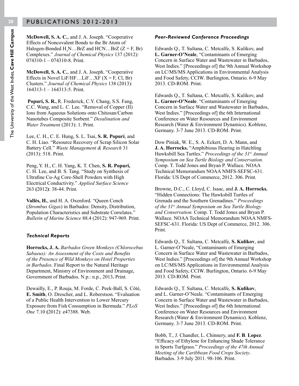**McDowell, S. A. C.**, and J. A. Joseph. "Cooperative Effects of Noncovalent Bonds to the Br Atom of Halogen-Bonded  $H_3N...BrZ$  and HCN...BrZ ( $Z = F$ , Br) Complexes." *Journal of Chemical Physics* 137 (2012): 074310-1 – 074310-8. Print.

**McDowell, S. A. C.**, and J. A. Joseph. "Cooperative Effects in Novel LiF/HF...LiF... $XF$  ( $X = F$ , Cl, Br) Clusters." *Journal of Chemical Physics* 138 (2013): 164313-1 – 164313-5. Print.

**Popuri, S. R.**,R. Frederick, C.Y. Chang, S.S. Fang, C.C. Wang, and L. C. Lee. "Removal of Copper (II) Ions from Aqueous Solutions onto Chitosan/Carbon Nanotubes Composite Sorbent." *Desalination and Water Treatment* (2013): 1. Print.

Lee, C. H., C. E. Hung, S. L. Tsai, **S. R. Popuri**, and C. H. Liao. "Resource Recovery of Scrap Silicon Solar Battery Cell." *Waste Management & Research* 31 (2013): 518. Print.

Peng, Y. H., C. H. Yang, K. T. Chen, **S. R. Popuri,**  C. H. Lee, and B. S. Tang. "Study on Synthesis of Ultrafine Cu-Ag Core-Shell Powders with High Electrical Conductivity." *Applied Surface Science* 263 **(**2012**)**: 38-44. Print.

**Vallès, H.**, and H. A. Oxenford. "Queen Conch (*Strombus Gigas*) in Barbados: Density, Distribution, Population Characteristics and Substrate Correlates." *Bulletin of Marine Science* 88.4 (2012): 947-969. Print.

#### *Technical Reports*

**Horrocks, J. A.** *Barbados Green Monkeys (Chlorocebus Sabaeus): An Assessment of the Costs and Benefits of the Presence of Wild Monkeys on Hotel Properties in Barbados.* Final Report to the Natural Heritage Department, Ministry of Environment and Drainage, Government of Barbados. N.p.: n.p., 2013**.** Print.

Dewailly, E., P. Rouja, M. Forde, C. Peek-Ball, S. Côté, **E. Smith**, O. Drescher, and L. Roberstson. "Evaluation of a Public Health Intervention to Lower Mercury Exposure from Fish Consumption in Bermuda." *PLoS One* 7.10 **(**2012): e47388. Web.

#### *Peer-Reviewed Conference Proceedings*

Edwards Q., T. Sultana, C. Metcalfe, S. Kulikov, and **L. Garner-O'Neale**, "Contaminants of Emerging Concern in Surface Water and Wastewater in Barbados, West Indies." [Proceedings of] the 9th Annual Workshop on LC/MS/MS Applications in Environmental Analysis and Food Safety, CCIW. Burlington, Ontario. 6-9 May 2013. CD-ROM. Print.

Edwards Q., T. Sultana, C. Metcalfe, S. Kulikov, and **L. Garner-O'Neale**. "Contaminants of Emerging Concern in Surface Water and Wastewater in Barbados, West Indies." [Proceedings of] the 6th International Conference on Water Resources and Environment Research (Water & Environment Dynamics). Koblenz, Germany. 3-7 June 2013. CD-ROM. Print.

Dow Piniak, W. E., S. A. Eckert, D. A. Mann, and **J. A. Horrocks.** "Amphibious Hearing in Hatchling Hawksbill Sea Turtles." *Proceedings of the 31st Annual Symposium on Sea Turtle Biology and Conservation.* Comp. T. Todd Jones and Bryan P. Wallace. NOAA Technical Memorandum NOAA NMFS-SEFSC-631. Florida: US Dept of Commerce, 2012. 306. Print.

Browne, D.C., C. Lloyd, C. Isaac, and **J. A. Horrocks.**  "Hidden Connections: The Hawksbill Turtles of Grenada and the Southern Grenadines." *Proceedings of the 31st Annual Symposium on Sea Turtle Biology and Conservation.* Comp. T. Todd Jones and Bryan P. Wallace. NOAA Technical Memorandum NOAA NMFS-SEFSC-631. Florida: US Dept of Commerce, 2012. 306. Print.

Edwards Q., T. Sultana, C. Metcalfe, **S. Kulikov**, and L. Garner-O'Neale, "Contaminants of Emerging Concern in Surface Water and Wastewater in Barbados, West Indies." [Proceedings of] the 9th Annual Workshop on LC/MS/MS Applications in Environmental Analysis and Food Safety, CCIW. Burlington, Ontario. 6-9 May 2013. CD-ROM. Print.

Edwards Q., T. Sultana, C. Metcalfe, **S. Kulikov**, and L. Garner-O'Neale. "Contaminants of Emerging Concern in Surface Water and Wastewater in Barbados, West Indies." [Proceedings of] the 6th International Conference on Water Resources and Environment Research (Water & Environment Dynamics). Koblenz, Germany. 3-7 June 2013. CD-ROM. Print.

Bobb, T., J. Chandler, L. Chinnery, and **F. B**. **Lopez**. "Efficacy of Ethylene for Enhancing Shade Tolerance in Sports Turfgrass." *Proceedings of the 47th Annual Meeting of the Caribbean Food Crops Society*. Barbados. 3-9 July 2011. 98-106. Print.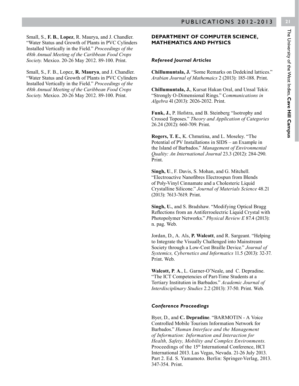Small, S., **F. B.**, **Lopez**, R. Maurya, and J. Chandler. "Water Status and Growth of Plants in PVC Cylinders Installed Vertically in the Field." *Proceedings of the 48th Annual Meeting of the Caribbean Food Crops Society.* Mexico. 20-26 May 2012. 89-100. Print.

Small, S., F. B., Lopez, **R. Maurya**, and J. Chandler. "Water Status and Growth of Plants in PVC Cylinders Installed Vertically in the Field." *Proceedings of the 48th Annual Meeting of the Caribbean Food Crops Society.* Mexico. 20-26 May 2012. 89-100. Print.

#### **DEPARTMENT OF COMPUTER SCIENCE, MATHEMATICS AND PHYSICS**

#### *Refereed Journal Articles*

**Chillumuntala, J.** "Some Remarks on Dedekind lattices." *Arabian Journal of Mathemaics* 2 (2013): 185-188. Print.

**Chillumuntala, J.**, Kursat Hakan Oral, and Unsal Tekir. "Strongly O-Dimensional Rings." C*ommunications in Algebra* 4l (2013): 2026-2032. Print.

**Funk, J.**, P. Hofstra, and B. Steinberg "Isotrophy and Crossed Toposes." *Theory and Application of Categories*  26.24 (2012): 660-709. Print.

**Rogers, T. E.**, K. Chmutina, and L. Moseley. "The Potential of PV Installations in SIDS – an Example in the Island of Barbados." *Management of Environmental Quality: An International Journal* 23.3 (2012): 284-290. Print.

**Singh, U**., F. Davis, S. Mohan, and G. Mitchell*.*  "Electroactive Nanofibres Electrospun from Blends of Poly-Vinyl Cinnamate and a Cholesteric Liquid Crystalline Silicone." *Journal of Materials Science* 48.21 (2013): 7613-7619. Print.

**Singh, U.**, and S. Bradshaw. "Modifying Optical Bragg Reflections from an Antiferroelectric Liquid Crystal with Photopolymer Networks." *Physical Review E* 87.4 (2013): n. pag. Web.

Jordan, D., A. Als, **P. Walcott**, and R. Sargeant. "Helping to Integrate the Visually Challenged into Mainstream Society through a Low-Cost Braille Device." *Journal of Systemics, Cybernetics and Informatics* 11.5 (2013): 32-37. Print. Web.

**Walcott, P**. **A**., L. Garner-O'Neale, and C. Depradine. "The ICT Competencies of Part-Time Students at a Tertiary Institution in Barbados." *Academic Journal of Interdisciplinary Studies* 2.2 (2013): 37-50. Print. Web.

#### *Conference Proceedings*

Byer, D., and **C. Depradine**. "BARMOTIN - A Voice Controlled Mobile Tourism Information Network for Barbados." *Human Interface and the Management of Information: Information and Interaction for Health, Safety, Mobility and Complex Environments.* Proceedings of the 15<sup>th</sup> International Conference, HCI International 2013. Las Vegas, Nevada. 21-26 July 2013. Part 2. Ed. S. Yamamoto. Berlin: Springer-Verlag, 2013. 347-354. Print.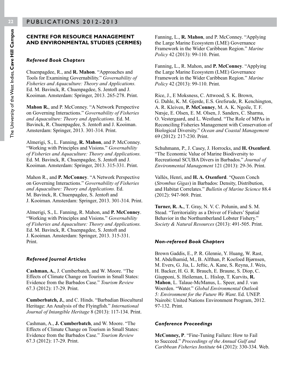#### **CENTRE FOR RESOURCE MANAGEMENT AND ENVIRONMENTAL STUDIES (CERMES)**

#### *Refereed Book Chapters*

Chuenpagdee, R., and **R. Mahon**. "Approaches and Tools for Examining Governability." *Governability of Fisheries and Aquaculture: Theory and Applications.* Ed. M. Bavinck, R. Chuenpagdee, S. Jentoft and J. Kooiman. Amsterdam: Springer, 2013. 265-278. Print.

**Mahon R.**, and P. McConney. "A Network Perspective on Governing Interactions." *Governability of Fisheries and Aquaculture: Theory and Applications.* Ed. M. Bavinck, R. Chuenpagdee, S. Jentoft and J. Kooiman. Amsterdam: Springer, 2013. 301-314. Print.

Almerigi, S., L. Fanning, **R. Mahon**, and P. McConney. "Working with Principles and Visions." *Governability of Fisheries and Aquaculture: Theory and Applications.* Ed. M. Bavinck, R. Chuenpagdee, S. Jentoft and J. Kooiman. Amsterdam: Springer, 2013. 315-331. Print.

Mahon R., and **P. McConney**. "A Network Perspective on Governing Interactions." *Governability of Fisheries and Aquaculture: Theory and Applications.* Ed. M. Bavinck, R. Chuenpagdee, S. Jentoft and J. Kooiman. Amsterdam: Springer, 2013. 301-314. Print.

Almerigi, S., L. Fanning, R. Mahon, and **P. McConney**. "Working with Principles and Visions." *Governability of Fisheries and Aquaculture: Theory and Applications.* Ed. M. Bavinck, R. Chuenpagdee, S. Jentoft and J. Kooiman. Amsterdam: Springer, 2013. 315-331. Print.

#### *Refereed Journal Articles*

**Cashman, A.**, J. Cumberbatch, and W. Moore. "The Effects of Climate Change on Tourism in Small States: Evidence from the Barbados Case." *Tourism Review*  67.3 (2012): 17-29. Print.

**Cumberbatch, J.**, and C. Hinds. "Barbadian Biocultural Heritage: An Analysis of the Flyingfish." *International Journal of Intangible Heritage* 8 (2013): 117-134. Print.

Cashman, A., **J. Cumberbatch**, and W. Moore. "The Effects of Climate Change on Tourism in Small States: Evidence from the Barbados Case." *Tourism Review*  67.3 (2012): 17-29. Print.

Fanning, L., **R. Mahon**, and P. McConney. "Applying the Large Marine Ecosystem (LME) Governance Framework in the Wider Caribbean Region." *Marine Policy* 42 (2013): 99-110. Print.

Fanning, L., R. Mahon, and **P. McConney**. "Applying the Large Marine Ecosystem (LME) Governance Framework in the Wider Caribbean Region." *Marine Policy* 42 (2013): 99-110. Print.

Rice, J., E Moksness, C. Attwood, S. K. Brown, G. Dahle, K. M. Gjerde, E.S. Grefsrude, R. Kenchington, A. R. Kleiven, **P. McConney**, M. A. K. Ngoile, T. F. Næsje, E. Olsen, E. M. Olsen, J. Sanders, C. Sharma, O. Vestergaard, and L. Westlund. "The Role of MPAs in Reconciling Fisheries Management with Conservation of Biological Diversity." *Ocean and Coastal Management* 69 (2012): 217-230. Print.

Schuhmann, P., J. Casey, J. Horrocks, and **H. Oxenford**. "The Economic Value of Marine Biodiversity to Recreational SCUBA Divers in Barbados." *Journal of Environmental Management* 121 (2013): 29-36. Print.

Vallès, Henri, and **H. A. Oxenford**. "Queen Conch (*Strombus Gigas*) in Barbados: Density, Distribution, and Habitat Correlates." *Bulletin of Marine Science* 88.4 (2012): 947-969. Print.

**Turner, R. A.**, T. Gray, N. V. C. Polunin, and S. M. Stead. "Territoriality as a Driver of Fishers' Spatial Behavior in the Northumberland Lobster Fishery." *Society & Natural Resources* (2013): 491-505. Print.

#### *Non-refereed Book Chapters*

Brown Gaddis, E., P. R. Glennie, Y. Huang, W. Rast, M. Abdelhamid, M., B. Alfthan, P. Koefoed Bjørnsen, M. Evers, G. Jia, L. Jeftic, A. Kane, S. Reyna, J. Weis, H. Backer, H. G. R. Brauch, E. Braune, S. Diop, C. Giupponi, S. Heileman, L. Hislop, T. Kurvits, **R. Mahon**, L. Talaue-McManus, L. Speer, and J. van Woerden. "Water." *Global Environmental Outlook 5: Environment for the Future We Want*. Ed. UNEP. Nairobi: United Nations Environment Program, 2012. 97-132. Print.

#### *Conference Proceedings*

**McConney, P**. "Fine-Tuning Failure: How to Fail to Succeed." *Proceedings of the Annual Gulf and Caribbean Fisheries Institute* 64 (2012): 330-334. Web.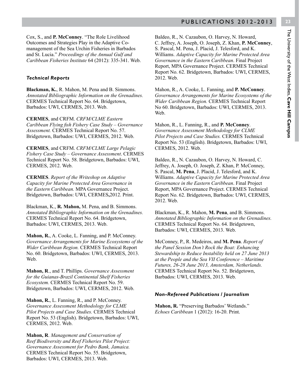Cox, S., and **P. McConney**. "The Role Livelihood Outcomes and Strategies Play in the Adaptive Comanagement of the Sea Urchin Fisheries in Barbados and St. Lucia." *Proceedings of the Annual Gulf and Caribbean Fisheries Institute* 64 (2012): 335-341. Web.

#### *Technical Reports*

**Blackman, K.**, R. Mahon, M. Pena and B. Simmons. *Annotated Bibliographic Information on the Grenadines.* CERMES Technical Report No. 64. Bridgetown, Barbados: UWI, CERMES, 2013. Web.

**CERMES**, and CRFM. *CRFM/CLME Eastern Caribbean Flying fish Fishery Case Study – Governance Assessment.* CERMES Technical Report No. 57. Bridgetown, Barbados: UWI, CERMES, 2012. Web.

**CERMES**, and CRFM. *CRFM/CLME Large Pelagic Fishery Case Study – Governance Assessment*. CERMES Technical Report No. 58. Bridgetown, Barbados: UWI, CERMES, 2012. Web.

**CERMES**. *Report of the Writeshop on Adaptive Capacity for Marine Protected Area Governance in the Eastern Caribbean.* MPA Governance Project. Bridgetown, Barbados: UWI, CERMES**,**2012. Print.

Blackman, K., **R. Mahon,** M. Pena, and B. Simmons. *Annotated Bibliographic Information on the Grenadines.* CERMES Technical Report No. 64. Bridgetown, Barbados: UWI, CERMES, 2013. Web.

**Mahon, R.**, A. Cooke, L. Fanning, and P. McConney. *Governance Arrangements for Marine Ecosystems of the Wider Caribbean Region.* CERMES Technical Report No. 60. Bridgetown, Barbados: UWI, CERMES, 2013. Web.

**Mahon, R**., and T. Phillips. *Governance Assessment for the Guianas-Brazil Continental Shelf Fisheries Ecosystem.* CERMES Technical Report No. 59. Bridgetown, Barbados: UWI, CERMES, 2012. Web.

**Mahon, R.**, L. Fanning, R., and P. McConney. *Governance Assessment Methodology for CLME Pilot Projects and Case Studies.* CERMES Technical Report No. 53 (English). Bridgetown, Barbados: UWI, CERMES, 2012. Web.

**Mahon, R**. *Management and Conservation of Reef Biodiversity and Reef Fisheries Pilot Project: Governance Assessment for Pedro Bank, Jamaica.* CERMES Technical Report No. 55. Bridgetown, Barbados: UWI, CERMES, 2013. Web.

Baldeo, R., N. Cazaubon, O. Harvey, N. Howard, C. Jeffrey, A. Joseph, O. Joseph, Z. Khan, **P. McConney**, S. Pascal, M. Pena, J. Placid, J. Telesford, and K. Williams. *Adaptive Capacity for Marine Protected Area Governance in the Eastern Caribbean*. Final Project Report, MPA Governance Project. CERMES Technical Report No. 62. Bridgetown, Barbados: UWI, CERMES, 2012. Web.

Mahon, R., A. Cooke, L. Fanning, and **P. McConney**. *Governance Arrangements for Marine Ecosystems of the Wider Caribbean Region.* CERMES Technical Report No 60. Bridgetown, Barbados: UWI, CERMES, 2013. Web.

Mahon, R., L. Fanning, R., and **P. McConney**. *Governance Assessment Methodology for CLME Pilot Projects and Case Studies.* CERMES Technical Report No. 53 (English). Bridgetown, Barbados: UWI, CERMES, 2012. Web.

Baldeo, R., N. Cazaubon, O. Harvey, N. Howard, C. Jeffrey, A. Joseph, O. Joseph, Z. Khan, P. McConney, S. Pascal, **M. Pena**, J. Placid, J. Telesford, and K. Williams. *Adaptive Capacity for Marine Protected Area Governance in the Eastern Caribbean*. Final Project Report, MPA Governance Project. CERMES Technical Report No. 62. Bridgetown, Barbados: UWI, CERMES, 2012. Web.

Blackman, K., R. Mahon, **M. Pena**, and B. Simmons. *Annotated Bibliographic Information on the Grenadines.* CERMES Technical Report No. 64. Bridgetown, Barbados: UWI, CERMES, 2013. Web.

McConney, P., R. Medeiros, and **M. Pena**. *Report of the Panel Session Don't Rock the Boat: Enhancing Stewardship to Reduce Instability held on 27 June 2013 at the People and the Sea VII Conference – Maritime Futures, 26-28 June 2013, Amsterdam, Netherlands.*  CERMES Technical Report No. 52. Bridgetown, Barbados: UWI, CERMES, 2013. Web.

#### *Non-Refereed Publications / Journalism*

**Mahon, R.** "Preserving Barbados' Wetlands." *Echoes Caribbean* 1 (2012): 16-20. Print.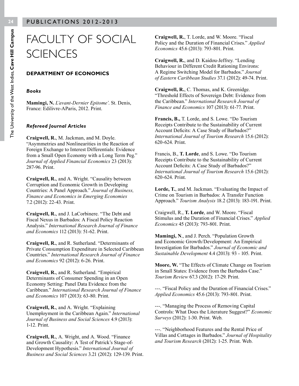#### **DEPARTMENT OF ECONOMICS**

#### *Books*

**Mamingi, N.** *L'avant-Dernier Epitome'*. St. Denis, France: Edilivre-AParis, 2012. Print.

#### *Refereed Journal Articles*

**Craigwell, R.**, M. Jackman, and M. Doyle. "Asymmetries and Nonlinearities in the Reaction of Foreign Exchange to Interest Differentials: Evidence from a Small Open Economy with a Long Term Peg." *Journal of Applied Financial Economics* 23 (2013): 287-96. Print.

**Craigwell, R.**, and A. Wright. "Causality between Corruption and Economic Growth in Developing Countries: A Panel Approach." *Journal of Business, Finance and Economics in Emerging Economies*  7.2 (2012): 22-43. Print.

**Craigwell, R.**, and J. LaCorbinere. "The Debt and Fiscal Nexus in Barbados: A Fiscal Policy Reaction Analysis." *International Research Journal of Finance and Economics* 112 (2013): 51-62. Print.

**Craigwell, R.**, and R. Sutherland. "Determinants of Private Consumption Expenditure in Selected Caribbean Countries." *International Research Journal of Finance and Economics* 92 (2012): 6-26. Print.

**Craigwell, R.**, and R. Sutherland. "Empirical Determinants of Consumer Spending in an Open Economy Setting: Panel Data Evidence from the Caribbean." *International Research Journal of Finance and Economics* 107 (2013): 63-80. Print.

**Craigwell, R.**, and A. Wright. "Explaining Unemployment in the Caribbean Again." *International Journal of Business and Social Sciences* 4.9 (2013): 1-12. Print.

**Craigwell, R.**, A. Wright, and A. Wood. "Finance and Growth Causality: A Test of Patrick's Stage-of-Development Hypothesis." *International Journal of Business and Social Sciences* 3.21 (2012): 129-139. Print. **Craigwell, R.**, T. Lorde, and W. Moore. "Fiscal Policy and the Duration of Financial Crises." *Applied Economics* 45.6 (2013): 793-801. Print.

**Craigwell, R.**, and D. Kaidou-Jeffrey. "Lending Behaviour in Different Credit Rationing Environs: A Regime Switching Model for Barbados." *Journal of Eastern Caribbean Studies* 37.1 (2012): 49-74. Print.

**Craigwell, R.**, C. Thomas, and K. Greenidge. "Threshold Effects of Sovereign Debt: Evidence from the Caribbean." *International Research Journal of Finance and Economics* 107 (2013): 61-77. Print.

**Francis, B.,** T. Lorde, and S. Lowe. "Do Tourism Receipts Contribute to the Sustainability of Current Account Deficits: A Case Study of Barbados?" *International Journal of Tourism Research* 15.6 (2012): 620-624. Print.

Francis, B., **T. Lorde**, and S. Lowe. "Do Tourism Receipts Contribute to the Sustainability of Current Account Deficits: A Case Study of Barbados?" *International Journal of Tourism Research* 15.6 (2012): 620-624. Print.

**Lorde, T.**, and M. Jackman. "Evaluating the Impact of Crime on Tourism in Barbados: A Transfer Function Approach." *Tourism Analysis* 18.2 (2013): 183-191. Print.

Craigwell, R., **T. Lorde**, and W. Moore. "Fiscal Stimulus and the Duration of Financial Crises." *Applied Economics* 45 (2013): 793-801. Print.

**Mamingi, N**., and J. Perch. "Population Growth and Economic Growth/Development: An Empirical Investigation for Barbados." *Journal of Economic and Sustainable Development* 4.4 (2013): 93 - 105. Print.

**Moore, W.** "The Effects of Climate Change on Tourism in Small States: Evidence from the Barbados Case." *Tourism Review* 67.3 (2012): 17-29. Print.

---. "Fiscal Policy and the Duration of Financial Crises." *Applied Economics* 45.6 (2013): 793-801. Print.

---. "Managing the Process of Removing Capital Controls: What Does the Literature Suggest?" *Economic Surveys* (2012): 1-30. Print. Web.

---. "Neighborhood Features and the Rental Price of Villas and Cottages in Barbados." *Journal of Hospitality and Tourism Research* (2012): 1-25. Print. Web.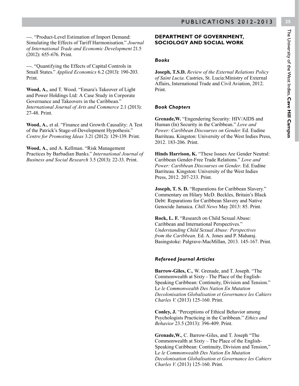---. "Product-Level Estimation of Import Demand: Simulating the Effects of Tariff Harmonisation." *Journal of International Trade and Economic Development* 21.5 (2012): 655-676. Print.

---. "Quantifying the Effects of Capital Controls in Small States." *Applied Economics* 6.2 (2013): 190-203. Print.

**Wood, A.**, and T. Wood. "Emara's Takeover of Light and Power Holdings Ltd: A Case Study in Corporate Governance and Takeovers in the Caribbean." *International Journal of Arts and Commerce* 2.1 (2013): 27-48. Print.

**Wood, A.**, et al. "Finance and Growth Causality: A Test of the Patrick's Stage-of-Development Hypothesis." *Centre for Promoting Ideas* 3.21 (2012): 129-139. Print.

**Wood, A.**, and A. Kellman. "Risk Management Practices by Barbadian Banks." *International Journal of Business and Social Research* 3.5 (2013): 22-33. Print.

#### **DEPARTMENT OF GOVERNMENT, SOCIOLOGY AND SOCIAL WORK**

#### *Books*

**Joseph, T.S.D.** *Review of the External Relations Policy of Saint Lucia*. Castries, St. Lucia:Ministry of External Affairs, International Trade and Civil Aviation, 2012. Print.

#### *Book Chapters*

**Grenade,W.** "Engendering Security: HIV/AIDS and Human (In) Security in the Caribbean." *Love and Power: Caribbean Discourses on Gender.* Ed. Eudine Barriteau. Kingston: University of the West Indies Press, 2012. 183-206. Print.

**Hinds Harrison, K.** "These Issues Are Gender Neutral: Caribbean Gender-Free Trade Relations." *Love and Power: Caribbean Discourses on Gender*. Ed. Eudine Barriteau. Kingston: University of the West Indies Press, 2012. 207-233. Print.

**Joseph, T. S. D.** "Reparations for Caribbean Slavery." Commentary on Hilary McD. Beckles, Britain's Black Debt: Reparations for Caribbean Slavery and Native Genocide Jamaica. *Chill News* May 2013: 85. Print.

**Rock, L. F.** "Research on Child Sexual Abuse: Caribbean and International Perspectives." *Understanding Child Sexual Abuse: Perspectives from the Caribbean*. Ed. A. Jones and P. Maharaj. Basingstoke: Palgrave-MacMillan, 2013. 145-167. Print.

#### *Refereed Journal Articles*

**Barrow-Giles, C.**, W. Grenade, and T. Joseph. "The Commonwealth at Sixty - The Place of the English-Speaking Caribbean: Continuity, Division and Tension." L*e le Commonwealth Des Nation En Mutation Decolonisation Globalisation et Governance les Cahiers Charles V.* (2013) 125-160. Print.

**Conley, J.** "Perceptions of Ethical Behavior among Psychologists Practicing in the Caribbean." *Ethics and Behavior* 23.5 (2013): 396-409. Print.

**Grenade,W.**, C. Barrow-Giles, and T. Joseph "The Commonwealth at Sixty – The Place of the English-Speaking Caribbean: Continuity, Division and Tension," L*e le Commonwealth Des Nation En Mutation Decolonisation Globalisation et Governance les Cahiers Charles V.* (2013) 125-160. Print.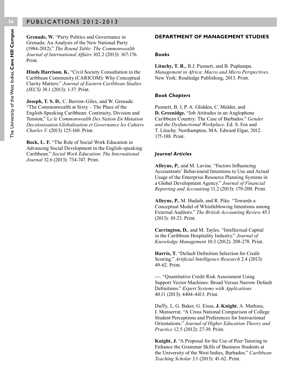**Grenade, W.** "Party Politics and Governance in Grenada: An Analysis of the New National Party (1984-2012)." *The Round Table: The Commonwealth Journal of International Affairs* 102.2 (2013): 167-176. Print.

**Hinds Harrison, K.** "Civil Society Consultation in the Caribbean Community (CARICOM): Why Conceptual Clarity Matters." *Journal of Eastern Caribbean Studies (JECS)* 38.1 (2013): 1-37. Print.

**Joseph, T. S. D.**, C. Barrow-Giles, and W. Grenade. "The Commonwealth at Sixty – The Place of the English-Speaking Caribbean: Continuity, Division and Tension," L*e le Commonwealth Des Nation En Mutation Decolonisation Globalisation et Governance les Cahiers Charles V.* (2013) 125-160. Print.

**Rock, L. F.** "The Role of Social Work Education in Advancing Social Development in the English-speaking Caribbean." *Social Work Education*: *The International Journal* 32.6 (2013): 734-747. Print.

#### **DEPARTMENT OF MANAGEMENT STUDIES**

#### *Books*

**Lituchy, T. R.**, B.J. Punnett, and B. Puplampu. *Management in Africa: Macro and Micro Perspectives*. New York: Routledge Publishing, 2013. Print.

#### *Book Chapters*

Punnett, B. J, P. A. Glidden, C. Mulder, and **D. Greenidge.** "Job Attitudes in an Anglophone Caribbean Country: The Case of Barbados." *Gender and the Dysfunctional Workplace*. Ed. S. Fox and T. Lituchy. Northampton, MA: Edward Elgar, 2012. 175-188. Print.

#### *Journal Articles*

**Alleyne, P.**, and M. Lavine. "Factors Influencing Accountants' Behavioural Intentions to Use and Actual Usage of the Enterprise Resource Planning Systems in a Global Development Agency." *Journal of Financial Reporting and Accounting* 11.2 (2013): 179-200. Print.

**Alleyne, P.**, M. Hudaib, and R. Pike. "Towards a Conceptual Model of Whistleblowing Intentions among External Auditors." *The British Accounting Review* 45.1 (2013): 10-23. Print.

**Carrington, D.**, and M. Tayles. "Intellectual Capital in the Caribbean Hospitality Industry." *Journal of Knowledge Management* 10.3 (2012): 208-278. Print.

**Harris, T.** "Default Definition Selection for Credit Scoring." *Artificial Intelligence Research* 2.4 (2013): 49-62. Print.

---. "Quantitative Credit Risk Assessment Using Support Vector Machines: Broad Versus Narrow Default Definitions." *Expert Systems with Applications*  40.11 (2013): 4404-4413. Print.

Duffy, J., G. Baker, G. Eissa, **J. Knight**, A. Mathieu, I. Monserrat. "A Cross National Comparison of College Student Perceptions and Preferences for Instructional Orientations." *Journal of Higher Education Theory and Practice* 12.5 (2012): 27-39. Print.

**Knight, J.** "A Proposal for the Use of Peer Tutoring to Enhance the Grammar Skills of Business Students at the University of the West Indies, Barbados." *Caribbean Teaching Scholar* 3.1 (2013): 41-62. Print.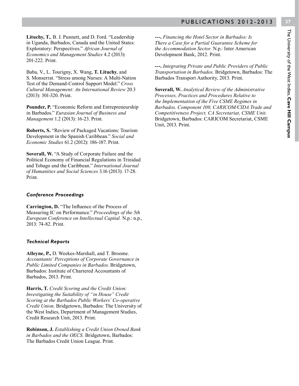**Lituchy, T.**, B. J. Punnett, and D. Ford. "Leadership in Uganda, Barbados, Canada and the United States: Exploratory: Perspectives." *African Journal of Economics and Management Studies* 4.2 (2013): 201-222. Print.

Baba, V., L. Tourigny, X. Wang, **T. Lituchy**, and S. Monserrat. "Stress among Nurses: A Multi-Nation Test of the Demand-Control Support Model." *Cross Cultural Management: An International Review* 20.3 (2013): 301-320. Print.

**Pounder, P.** "Economic Reform and Entrepreneurship in Barbados." *Eurasian Journal of Business and Management* 1.2 (2013): 16-23. Print.

**Roberts, S.** "Review of Packaged Vacations: Tourism Development in the Spanish Caribbean." *Social and Economic Studies* 61.2 (2012): 186-187. Print.

**Soverall, W.** "A Study of Corporate Failure and the Political Economy of Financial Regulations in Trinidad and Tobago and the Caribbean." *International Journal of Humanities and Social Sciences* 3.16 (2013): 17-28. Print.

#### *Conference Proceedings*

**Carrington, D.** "The Influence of the Process of Measuring IC on Performance." *Proceedings of the 5th European Conference on Intellectual Capital.* N.p.: n.p., 2013: 74-82. Print.

#### *Technical Reports*

**Alleyne, P.,** D. Weekes-Marshall, and T. Broome. *Accountants' Perceptions of Corporate Governance in Public Limited Companies in Barbados*. Bridgetown, Barbados: Institute of Chartered Accountants of Barbados, 2013. Print.

**Harris, T.** *Credit Scoring and the Credit Union: Investigating the Suitability of "in House" Credit Scoring at the Barbados Public Workers' Co-operative Credit Union*. Bridgetown, Barbados: The University of the West Indies, Department of Management Studies, Credit Research Unit, 2013. Print.

**Robinson, J.** *Establishing a Credit Union Owned Bank in Barbados and the OECS.* Bridgetown, Barbados: The Barbados Credit Union League. Print.

**---.** *Financing the Hotel Sector in Barbados: Is There a Case for a Partial Guarantee Scheme for the Accommodation Sector.* N.p.: Inter American Development Bank, 2012. Print.

**---.** *Integrating Private and Public Providers of Public Transportation in Barbados.* Bridgetown, Barbados: The Barbados Transport Authority, 2013. Print.

**Soverall, W.** *Analytical Review of the Administrative Processes, Practices and Procedures Relative to the Implementation of the Five CSME Regimes in Barbados. Component 100, CARICOM/CIDA Trade and Competitiveness Project, CA Secretariat, CSME Unit*. Bridgetown, Barbados: CARICOM Secretariat, CSME Unit, 2013. Print.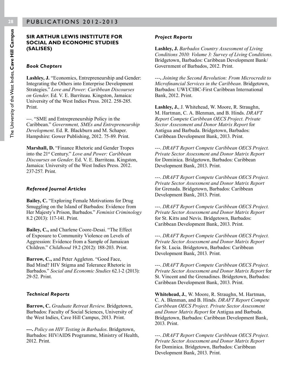#### **SIR ARTHUR LEWIS INSTITUTE FOR SOCIAL AND ECONOMIC STUDIES (SALISES)**

#### *Book Chapters*

**Lashley, J.** "Economics, Entrepreneurship and Gender: Integrating the Others into Enterprise Development Strategies." *Love and Power: Caribbean Discourses on Gender*. Ed. V. E. Barriteau. Kingston, Jamaica: University of the West Indies Press. 2012. 258-285. Print.

---. "SME and Entrepreneurship Policy in the Caribbean." *Government, SMEs and Entrepreneurship Development*. Ed. R. Blackburn and M. Schaper. Hampshire: Gower Publishing, 2012. 75-89. Print.

**Marshall, D.** "Finance Rhetoric and Gender Tropes into the 21st Century." *Love and Power: Caribbean Discourses on Gender*. Ed. V. E. Barriteau. Kingston, Jamaica: University of the West Indies Press. 2012. 237-257. Print.

#### *Refereed Journal Articles*

**Bailey, C.** "Exploring Female Motivations for Drug Smuggling on the Island of Barbados: Evidence from Her Majesty's Prison, Barbados." *Feminist Criminology* 8.2 (2013): 117-141. Print.

**Bailey, C.,** and Charlene Coore-Desai. "The Effect of Exposure to Community Violence on Levels of Aggression: Evidence from a Sample of Jamaican Children." *Childhood* 19.2 (2012): 188-203. Print.

**Barrow, C.,** and Peter Aggleton. "Good Face, Bad Mind? HIV Stigma and Tolerance Rhetoric in Barbados." *Social and Economic Studies* 62.1-2 (2013): 29-52. Print.

#### *Technical Reports*

**Barrow, C.** *Graduate Retreat Review*. Bridgetown, Barbados: Faculty of Social Sciences, University of the West Indies, Cave Hill Campus, 2013. Print.

**---.** *Policy on HIV Testing in Barbados*. Bridgetown, Barbados: HIV/AIDS Programme, Ministry of Health, 2012. Print.

#### *Project Reports*

**Lashley, J.** *Barbados Country Assessment of Living Conditions 2010: Volume 3: Survey of Living Conditions*. Bridgetown, Barbados: Caribbean Development Bank/ Government of Barbados, 2012. Print.

---**.** *Joining the Second Revolution: From Microcredit to Microfinancial Services in the Caribbean*. Bridgetown, Barbados: UWI/CIBC-First Caribbean International Bank, 2012. Print.

**Lashley, J.**, J. Whitehead, W. Moore, R. Straughn, M. Hartman, C. A. Blenman, and B. Hinds. *DRAFT Report Compete Caribbean OECS Project. Private Sector Assessment and Donor Matrix Report* for Antigua and Barbuda. Bridgetown, Barbados: Caribbean Development Bank, 2013. Print.

---. *DRAFT Report Compete Caribbean OECS Project. Private Sector Assessment and Donor Matrix Report*  for Dominica. Bridgetown, Barbados: Caribbean Development Bank, 2013. Print.

---. *DRAFT Report Compete Caribbean OECS Project. Private Sector Assessment and Donor Matrix Report*  for Grenada. Bridgetown, Barbados: Caribbean Development Bank, 2013. Print.

---. *DRAFT Report Compete Caribbean OECS Project. Private Sector Assessment and Donor Matrix Report*  for St. Kitts and Nevis. Bridgetown, Barbados: Caribbean Development Bank, 2013. Print.

---. *DRAFT Report Compete Caribbean OECS Project. Private Sector Assessment and Donor Matrix Report*  for St. Lucia. Bridgetown, Barbados: Caribbean Development Bank, 2013. Print.

---. *DRAFT Report Compete Caribbean OECS Project. Private Sector Assessment and Donor Matrix Report* for St. Vincent and the Grenadines. Bridgetown, Barbados: Caribbean Development Bank, 2013. Print.

**Whitehead, J.**, W. Moore, R. Straughn, M. Hartman, C. A. Blenman, and B. Hinds. *DRAFT Report Compete Caribbean OECS Project. Private Sector Assessment and Donor Matrix Report* for Antigua and Barbuda. Bridgetown, Barbados: Caribbean Development Bank, 2013. Print.

---. *DRAFT Report Compete Caribbean OECS Project. Private Sector Assessment and Donor Matrix Report*  for Dominica. Bridgetown, Barbados: Caribbean Development Bank, 2013. Print.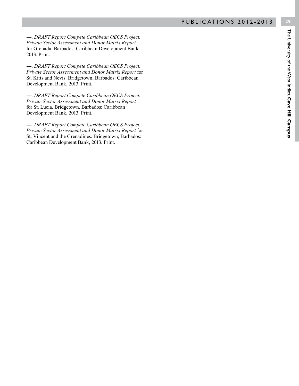---. *DRAFT Report Compete Caribbean OECS Project. Private Sector Assessment and Donor Matrix Report*  for Grenada. Barbados: Caribbean Development Bank. 2013. Print.

---. *DRAFT Report Compete Caribbean OECS Project. Private Sector Assessment and Donor Matrix Report* for St. Kitts and Nevis. Bridgetown, Barbados: Caribbean Development Bank, 2013. Print.

---. *DRAFT Report Compete Caribbean OECS Project. Private Sector Assessment and Donor Matrix Report*  for St. Lucia. Bridgetown, Barbados: Caribbean Development Bank, 2013. Print.

---. *DRAFT Report Compete Caribbean OECS Project. Private Sector Assessment and Donor Matrix Report* for St. Vincent and the Grenadines. Bridgetown, Barbados: Caribbean Development Bank, 2013. Print.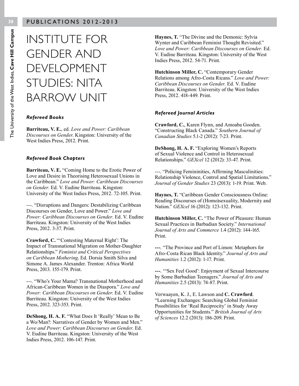# INSTITUTE FOR GENDER AND DEVELOPMENT STUDIES: NITA BARROW UNIT

#### *Refereed Books*

**Barriteau, V. E.**, ed. *Love and Power: Caribbean Discourses on Gender*. Kingston: University of the West Indies Press, 2012. Print.

#### *Refereed Book Chapters*

**Barriteau, V. E.** "Coming Home to the Erotic Power of Love and Desire in Theorising Heterosexual Unions in the Caribbean." *Love and Power: Caribbean Discourses on Gender.* Ed. V. Eudine Barriteau. Kingston: University of the West Indies Press, 2012. 72-105. Print.

---. "Disruptions and Dangers: Destabilizing Caribbean Discourses on Gender, Love and Power." *Love and Power: Caribbean Discourses on Gender.* Ed. V. Eudine Barriteau. Kingston: University of the West Indies Press, 2012. 3-37. Print.

**Crawford, C.** "'Contesting Maternal Right': The Impact of Transnational Migration on Mother-Daughter Relationships." *Feminist and Critical Perspectives on Caribbean Mothering*. Ed. Dorsia Smith Silva and Simone A. James Alexander. Trenton: Africa World Press, 2013. 155-179. Print.

---. "Who's Your Mama? Transnational Motherhood and African-Caribbean Women in the Diaspora." *Love and Power: Caribbean Discourses on Gender*. Ed. V. Eudine Barriteau. Kingston: University of the West Indies Press, 2012. 323-353. Print.

**DeShong, H. A. F.** "What Does It 'Really' Mean to Be a Wo/Man?: Narratives of Gender by Women and Men." *Love and Power: Caribbean Discourses on Gender*. Ed. V. Eudine Barriteau. Kingston: University of the West Indies Press, 2012. 106-147. Print.

**Haynes, T.** "The Divine and the Demonic: Sylvia Wynter and Caribbean Feminist Thought Revisited." *Love and Power: Caribbean Discourses on Gender.* Ed. V. Eudine Barriteau. Kingston: University of the West Indies Press, 2012. 54-71. Print.

**Hutchinson Miller, C.** "Contemporary Gender Relations among Afro-Costa Ricans." *Love and Power: Caribbean Discourses on Gender.* Ed. V. Eudine Barriteau. Kingston: University of the West Indies Press, 2012. 418-449. Print.

#### *Refereed Journal Articles*

**Crawford, C.**, Karen Flynn, and Amoaba Gooden. "Constructing Black Canada." *Southern Journal of Canadian Studies* 5.1-2 (2012): 7-23. Print.

**DeShong, H. A. F.** "Exploring Women's Reports of Sexual Violence and Control in Heterosexual Relationships." *GEXcel* 12 (2012): 33-47. Print.

---. "Policing Femininities, Affirming Masculinities: Relationship Violence, Control and Spatial Limitations." *Journal of Gender Studies* 23 (2013): 1-19. Print. Web.

**Haynes, T.** "Caribbean Gender Consciousness Online: Reading Discourses of (Homo)sexuality, Modernity and Nation." *GEXcel* 16 (2012): 123-132. Print.

**Hutchinson Miller, C.** "The Power of Pleasure: Human Sexual Practices in Barbadian Society." *International Journal of Arts and Commerce* 1.4 (2012): 144-165. Print.

**---**. "The Province and Port of Limon: Metaphors for Afro-Costa Rican Black Identity." *Journal of Arts and Humanities* 1.2 (2012): 1-17. Print.

**---**. '"Sex Feel Good': Enjoyment of Sexual Intercourse by Some Barbadian Teenagers." *Journal of Arts and Humanities* 2.5 (2013): 74-87. Print.

Verwaayen, K. J., E. Lawson and **C. Crawford**. "Learning Exchanges: Searching Global Feminist Possibilities for 'Real Reciprocity' in Study Away Opportunities for Students*.*" *British Journal of Arts of Sciences* 12.2 (2013): 186-209. Print.

The University of the West Indies, **Cave Hill Campus**

The University of the West Indies, Cave Hill Campus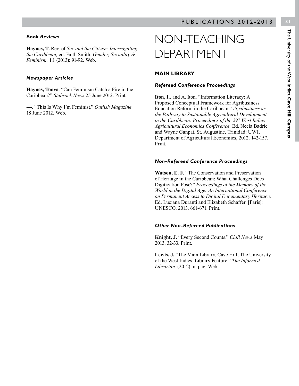#### *Book Reviews*

**Haynes, T.** Rev. of *Sex and the Citizen: Interrogating the Caribbean,* ed. Faith Smith. *Gender, Sexuality & Feminism.* 1.1 (2013): 91-92. Web.

#### *Newspaper Articles*

**Haynes, Tonya**. "Can Feminism Catch a Fire in the Caribbean?" *Stabroek News* 25 June 2012. Print.

**---**. "This Is Why I'm Feminist." *Outlish Magazine*  18 June 2012. Web.

# NON-TEACHING DEPARTMENT

#### **MAIN LIBRARY**

#### *Refereed Conference Proceedings*

**Iton, I.**, and A. Iton. "Information Literacy: A Proposed Conceptual Framework for Agribusiness Education Reform in the Caribbean." *Agribusiness as the Pathway to Sustainable Agricultural Development*  in the Caribbean: Proceedings of the 29<sup>th</sup> West Indies *Agricultural Economics Conference.* Ed. Neela Badrie and Wayne Ganpat. St. Augustine, Trinidad: UWI, Department of Agricultural Economics, 2012. 142-157. Print.

#### *Non-Refereed Conference Proceedings*

**Watson, E. F.** "The Conservation and Preservation of Heritage in the Caribbean: What Challenges Does Digitization Pose?" *Proceedings of the Memory of the World in the Digital Age: An International Conference on Permanent Access to Digital Documentary Heritage*. Ed. Luciana Duranti and Elizabeth Schaffer. [Paris]: UNESCO, 2013. 661-671. Print.

#### *Other Non-Refereed Publications*

**Knight, J.** "Every Second Counts." *Chill News* May 2013. 32-33. Print.

**Lewis, J.** "The Main Library, Cave Hill, The University of the West Indies. Library Feature*.*" *The Informed Librarian*. (2012): n. pag. Web.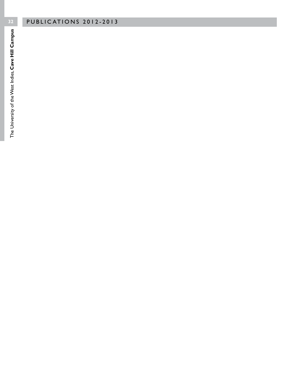**32**